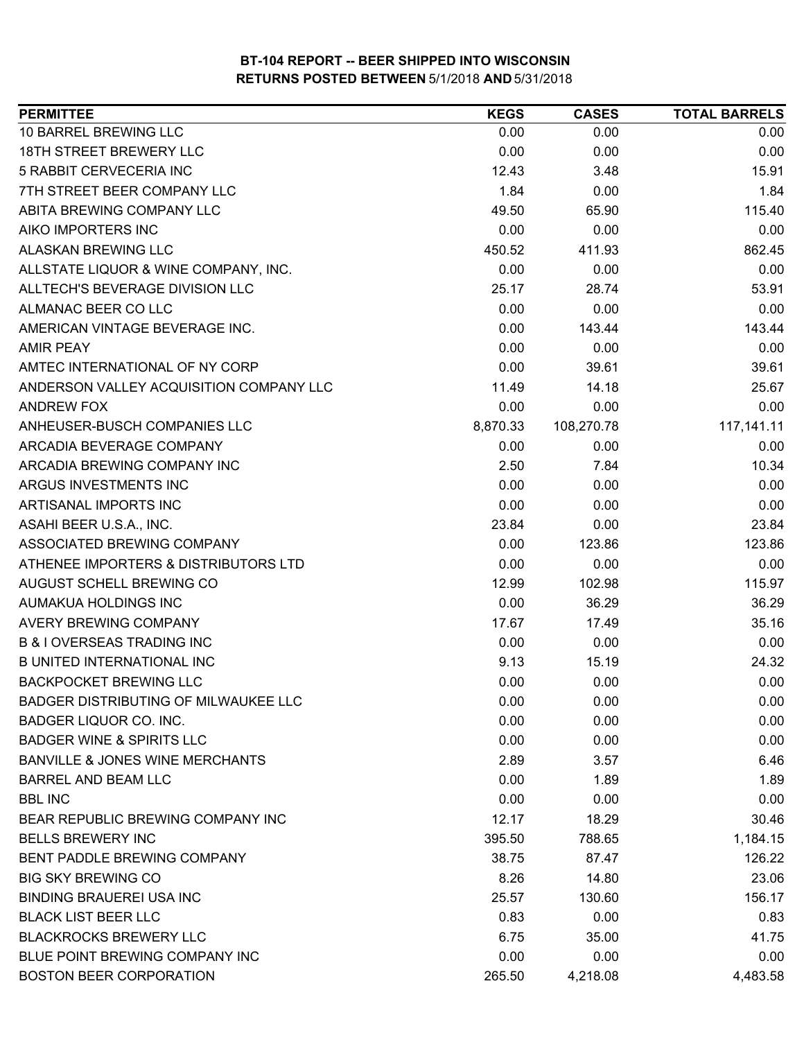| <b>PERMITTEE</b>                           | <b>KEGS</b> | <b>CASES</b> | <b>TOTAL BARRELS</b> |
|--------------------------------------------|-------------|--------------|----------------------|
| 10 BARREL BREWING LLC                      | 0.00        | 0.00         | 0.00                 |
| 18TH STREET BREWERY LLC                    | 0.00        | 0.00         | 0.00                 |
| 5 RABBIT CERVECERIA INC                    | 12.43       | 3.48         | 15.91                |
| 7TH STREET BEER COMPANY LLC                | 1.84        | 0.00         | 1.84                 |
| ABITA BREWING COMPANY LLC                  | 49.50       | 65.90        | 115.40               |
| AIKO IMPORTERS INC                         | 0.00        | 0.00         | 0.00                 |
| ALASKAN BREWING LLC                        | 450.52      | 411.93       | 862.45               |
| ALLSTATE LIQUOR & WINE COMPANY, INC.       | 0.00        | 0.00         | 0.00                 |
| ALLTECH'S BEVERAGE DIVISION LLC            | 25.17       | 28.74        | 53.91                |
| ALMANAC BEER CO LLC                        | 0.00        | 0.00         | 0.00                 |
| AMERICAN VINTAGE BEVERAGE INC.             | 0.00        | 143.44       | 143.44               |
| <b>AMIR PEAY</b>                           | 0.00        | 0.00         | 0.00                 |
| AMTEC INTERNATIONAL OF NY CORP             | 0.00        | 39.61        | 39.61                |
| ANDERSON VALLEY ACQUISITION COMPANY LLC    | 11.49       | 14.18        | 25.67                |
| <b>ANDREW FOX</b>                          | 0.00        | 0.00         | 0.00                 |
| ANHEUSER-BUSCH COMPANIES LLC               | 8,870.33    | 108,270.78   | 117, 141. 11         |
| ARCADIA BEVERAGE COMPANY                   | 0.00        | 0.00         | 0.00                 |
| ARCADIA BREWING COMPANY INC                | 2.50        | 7.84         | 10.34                |
| ARGUS INVESTMENTS INC                      | 0.00        | 0.00         | 0.00                 |
| ARTISANAL IMPORTS INC                      | 0.00        | 0.00         | 0.00                 |
| ASAHI BEER U.S.A., INC.                    | 23.84       | 0.00         | 23.84                |
| ASSOCIATED BREWING COMPANY                 | 0.00        | 123.86       | 123.86               |
| ATHENEE IMPORTERS & DISTRIBUTORS LTD       | 0.00        | 0.00         | 0.00                 |
| AUGUST SCHELL BREWING CO                   | 12.99       | 102.98       | 115.97               |
| AUMAKUA HOLDINGS INC                       | 0.00        | 36.29        | 36.29                |
| AVERY BREWING COMPANY                      | 17.67       | 17.49        | 35.16                |
| <b>B &amp; I OVERSEAS TRADING INC</b>      | 0.00        | 0.00         | 0.00                 |
| <b>B UNITED INTERNATIONAL INC</b>          | 9.13        | 15.19        | 24.32                |
| <b>BACKPOCKET BREWING LLC</b>              | 0.00        | 0.00         | 0.00                 |
| BADGER DISTRIBUTING OF MILWAUKEE LLC       | 0.00        | 0.00         | 0.00                 |
| BADGER LIQUOR CO. INC.                     | 0.00        | 0.00         | 0.00                 |
| <b>BADGER WINE &amp; SPIRITS LLC</b>       | 0.00        | 0.00         | 0.00                 |
| <b>BANVILLE &amp; JONES WINE MERCHANTS</b> | 2.89        | 3.57         | 6.46                 |
| <b>BARREL AND BEAM LLC</b>                 | 0.00        | 1.89         | 1.89                 |
| <b>BBL INC</b>                             | 0.00        | 0.00         | 0.00                 |
| BEAR REPUBLIC BREWING COMPANY INC          | 12.17       | 18.29        | 30.46                |
| <b>BELLS BREWERY INC</b>                   | 395.50      | 788.65       | 1,184.15             |
| BENT PADDLE BREWING COMPANY                | 38.75       | 87.47        | 126.22               |
| <b>BIG SKY BREWING CO</b>                  | 8.26        | 14.80        | 23.06                |
| <b>BINDING BRAUEREI USA INC</b>            | 25.57       | 130.60       | 156.17               |
| <b>BLACK LIST BEER LLC</b>                 | 0.83        | 0.00         | 0.83                 |
| <b>BLACKROCKS BREWERY LLC</b>              | 6.75        | 35.00        | 41.75                |
| BLUE POINT BREWING COMPANY INC             | 0.00        | 0.00         | 0.00                 |
| <b>BOSTON BEER CORPORATION</b>             | 265.50      | 4,218.08     | 4,483.58             |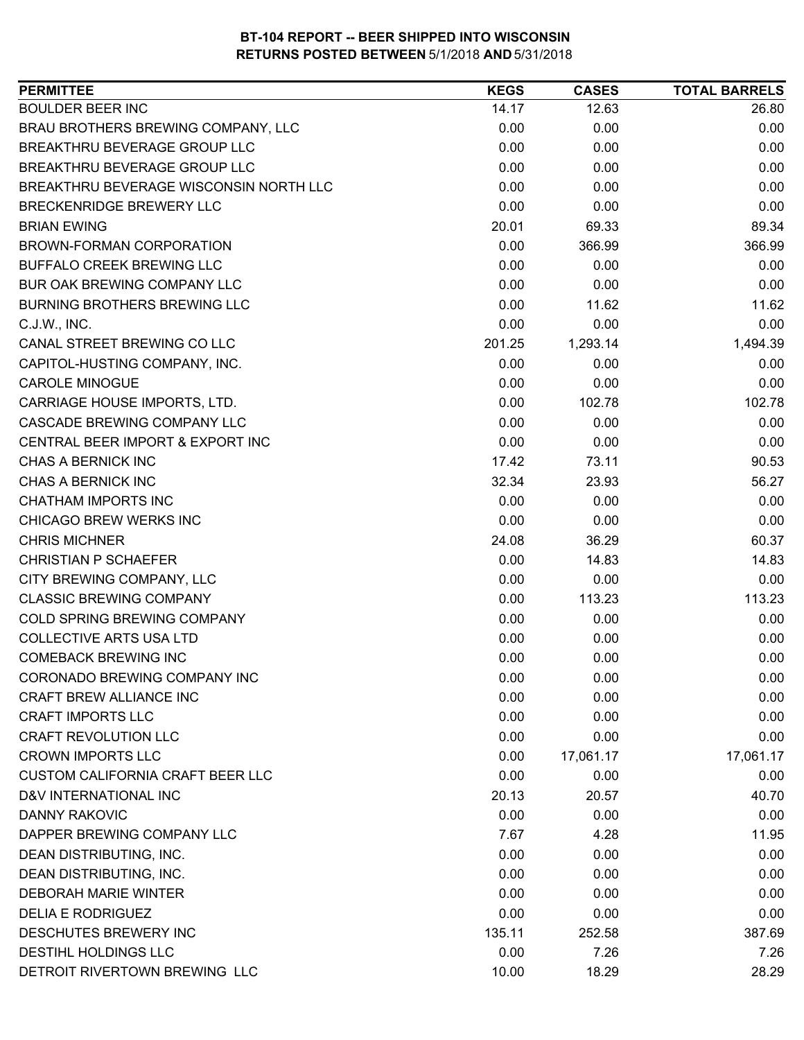| <b>PERMITTEE</b>                        | <b>KEGS</b> | <b>CASES</b> | <b>TOTAL BARRELS</b> |
|-----------------------------------------|-------------|--------------|----------------------|
| <b>BOULDER BEER INC</b>                 | 14.17       | 12.63        | 26.80                |
| BRAU BROTHERS BREWING COMPANY, LLC      | 0.00        | 0.00         | 0.00                 |
| BREAKTHRU BEVERAGE GROUP LLC            | 0.00        | 0.00         | 0.00                 |
| BREAKTHRU BEVERAGE GROUP LLC            | 0.00        | 0.00         | 0.00                 |
| BREAKTHRU BEVERAGE WISCONSIN NORTH LLC  | 0.00        | 0.00         | 0.00                 |
| BRECKENRIDGE BREWERY LLC                | 0.00        | 0.00         | 0.00                 |
| <b>BRIAN EWING</b>                      | 20.01       | 69.33        | 89.34                |
| BROWN-FORMAN CORPORATION                | 0.00        | 366.99       | 366.99               |
| <b>BUFFALO CREEK BREWING LLC</b>        | 0.00        | 0.00         | 0.00                 |
| BUR OAK BREWING COMPANY LLC             | 0.00        | 0.00         | 0.00                 |
| <b>BURNING BROTHERS BREWING LLC</b>     | 0.00        | 11.62        | 11.62                |
| C.J.W., INC.                            | 0.00        | 0.00         | 0.00                 |
| CANAL STREET BREWING CO LLC             | 201.25      | 1,293.14     | 1,494.39             |
| CAPITOL-HUSTING COMPANY, INC.           | 0.00        | 0.00         | 0.00                 |
| <b>CAROLE MINOGUE</b>                   | 0.00        | 0.00         | 0.00                 |
| CARRIAGE HOUSE IMPORTS, LTD.            | 0.00        | 102.78       | 102.78               |
| CASCADE BREWING COMPANY LLC             | 0.00        | 0.00         | 0.00                 |
| CENTRAL BEER IMPORT & EXPORT INC        | 0.00        | 0.00         | 0.00                 |
| CHAS A BERNICK INC                      | 17.42       | 73.11        | 90.53                |
| CHAS A BERNICK INC                      | 32.34       | 23.93        | 56.27                |
| <b>CHATHAM IMPORTS INC</b>              | 0.00        | 0.00         | 0.00                 |
| CHICAGO BREW WERKS INC                  | 0.00        | 0.00         | 0.00                 |
| <b>CHRIS MICHNER</b>                    | 24.08       | 36.29        | 60.37                |
| <b>CHRISTIAN P SCHAEFER</b>             | 0.00        | 14.83        | 14.83                |
| CITY BREWING COMPANY, LLC               | 0.00        | 0.00         | 0.00                 |
| <b>CLASSIC BREWING COMPANY</b>          | 0.00        | 113.23       | 113.23               |
| COLD SPRING BREWING COMPANY             | 0.00        | 0.00         | 0.00                 |
| <b>COLLECTIVE ARTS USA LTD</b>          | 0.00        | 0.00         | 0.00                 |
| <b>COMEBACK BREWING INC</b>             | 0.00        | 0.00         | 0.00                 |
| CORONADO BREWING COMPANY INC            | 0.00        | 0.00         | 0.00                 |
| CRAFT BREW ALLIANCE INC                 | 0.00        | 0.00         | 0.00                 |
| <b>CRAFT IMPORTS LLC</b>                | 0.00        | 0.00         | 0.00                 |
| <b>CRAFT REVOLUTION LLC</b>             | 0.00        | 0.00         | 0.00                 |
| <b>CROWN IMPORTS LLC</b>                | 0.00        | 17,061.17    | 17,061.17            |
| <b>CUSTOM CALIFORNIA CRAFT BEER LLC</b> | 0.00        | 0.00         | 0.00                 |
| D&V INTERNATIONAL INC                   | 20.13       | 20.57        | 40.70                |
| DANNY RAKOVIC                           | 0.00        | 0.00         | 0.00                 |
| DAPPER BREWING COMPANY LLC              | 7.67        | 4.28         | 11.95                |
| DEAN DISTRIBUTING, INC.                 | 0.00        | 0.00         | 0.00                 |
| DEAN DISTRIBUTING, INC.                 | 0.00        | 0.00         | 0.00                 |
| <b>DEBORAH MARIE WINTER</b>             | 0.00        | 0.00         | 0.00                 |
| <b>DELIA E RODRIGUEZ</b>                | 0.00        | 0.00         | 0.00                 |
| DESCHUTES BREWERY INC                   | 135.11      | 252.58       | 387.69               |
| DESTIHL HOLDINGS LLC                    | 0.00        | 7.26         | 7.26                 |
| DETROIT RIVERTOWN BREWING LLC           | 10.00       | 18.29        | 28.29                |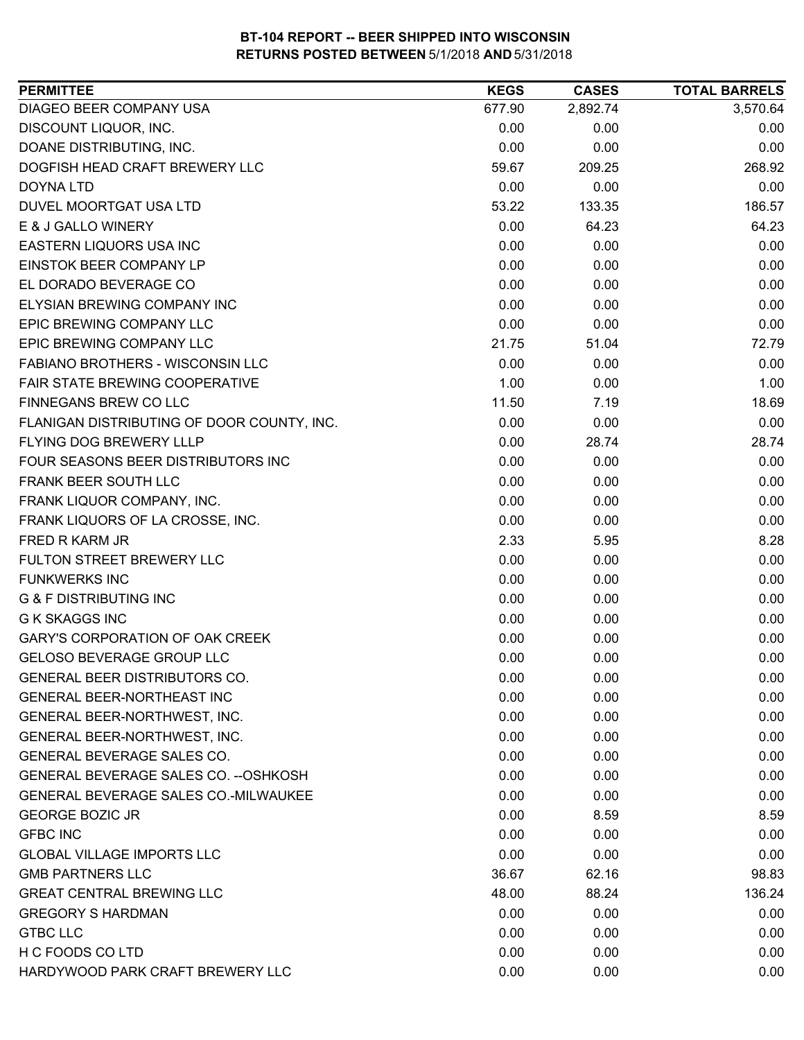| 2,892.74<br>3,570.64<br>DIAGEO BEER COMPANY USA<br>677.90<br>DISCOUNT LIQUOR, INC.<br>0.00<br>0.00<br>0.00<br>DOANE DISTRIBUTING, INC.<br>0.00<br>0.00<br>0.00<br>DOGFISH HEAD CRAFT BREWERY LLC<br>59.67<br>268.92<br>209.25<br>0.00<br>0.00<br>0.00<br>DOYNA LTD<br>53.22<br>186.57<br>DUVEL MOORTGAT USA LTD<br>133.35<br>E & J GALLO WINERY<br>0.00<br>64.23<br>64.23<br>0.00<br><b>EASTERN LIQUORS USA INC</b><br>0.00<br>0.00<br>0.00<br><b>EINSTOK BEER COMPANY LP</b><br>0.00<br>0.00<br>EL DORADO BEVERAGE CO<br>0.00<br>0.00<br>0.00<br>ELYSIAN BREWING COMPANY INC<br>0.00<br>0.00<br>0.00<br>EPIC BREWING COMPANY LLC<br>0.00<br>0.00<br>0.00<br>EPIC BREWING COMPANY LLC<br>21.75<br>72.79<br>51.04<br>FABIANO BROTHERS - WISCONSIN LLC<br>0.00<br>0.00<br>0.00<br><b>FAIR STATE BREWING COOPERATIVE</b><br>1.00<br>0.00<br>1.00<br>FINNEGANS BREW CO LLC<br>11.50<br>18.69<br>7.19<br>0.00<br>0.00<br>FLANIGAN DISTRIBUTING OF DOOR COUNTY, INC.<br>0.00<br>FLYING DOG BREWERY LLLP<br>0.00<br>28.74<br>28.74<br>FOUR SEASONS BEER DISTRIBUTORS INC<br>0.00<br>0.00<br>0.00<br>FRANK BEER SOUTH LLC<br>0.00<br>0.00<br>0.00<br>0.00<br>FRANK LIQUOR COMPANY, INC.<br>0.00<br>0.00<br>FRANK LIQUORS OF LA CROSSE, INC.<br>0.00<br>0.00<br>0.00<br>FRED R KARM JR<br>2.33<br>5.95<br>8.28<br>FULTON STREET BREWERY LLC<br>0.00<br>0.00<br>0.00<br><b>FUNKWERKS INC</b><br>0.00<br>0.00<br>0.00<br><b>G &amp; F DISTRIBUTING INC</b><br>0.00<br>0.00<br>0.00<br><b>G K SKAGGS INC</b><br>0.00<br>0.00<br>0.00<br><b>GARY'S CORPORATION OF OAK CREEK</b><br>0.00<br>0.00<br>0.00<br><b>GELOSO BEVERAGE GROUP LLC</b><br>0.00<br>0.00<br>0.00<br><b>GENERAL BEER DISTRIBUTORS CO.</b><br>0.00<br>0.00<br>0.00<br>GENERAL BEER-NORTHEAST INC<br>0.00<br>0.00<br>0.00<br>GENERAL BEER-NORTHWEST, INC.<br>0.00<br>0.00<br>0.00<br>GENERAL BEER-NORTHWEST, INC.<br>0.00<br>0.00<br>0.00<br><b>GENERAL BEVERAGE SALES CO.</b><br>0.00<br>0.00<br>0.00<br>GENERAL BEVERAGE SALES CO. -- OSHKOSH<br>0.00<br>0.00<br>0.00<br>GENERAL BEVERAGE SALES CO.-MILWAUKEE<br>0.00<br>0.00<br>0.00<br><b>GEORGE BOZIC JR</b><br>0.00<br>8.59<br>8.59<br><b>GFBC INC</b><br>0.00<br>0.00<br>0.00<br><b>GLOBAL VILLAGE IMPORTS LLC</b><br>0.00<br>0.00<br>0.00<br>98.83<br><b>GMB PARTNERS LLC</b><br>36.67<br>62.16<br><b>GREAT CENTRAL BREWING LLC</b><br>136.24<br>48.00<br>88.24<br><b>GREGORY S HARDMAN</b><br>0.00<br>0.00<br>0.00<br>0.00<br>0.00<br><b>GTBC LLC</b><br>0.00<br>H C FOODS CO LTD<br>0.00<br>0.00<br>0.00<br>HARDYWOOD PARK CRAFT BREWERY LLC<br>0.00<br>0.00<br>0.00 | <b>PERMITTEE</b> | <b>KEGS</b> | <b>CASES</b> | <b>TOTAL BARRELS</b> |
|-----------------------------------------------------------------------------------------------------------------------------------------------------------------------------------------------------------------------------------------------------------------------------------------------------------------------------------------------------------------------------------------------------------------------------------------------------------------------------------------------------------------------------------------------------------------------------------------------------------------------------------------------------------------------------------------------------------------------------------------------------------------------------------------------------------------------------------------------------------------------------------------------------------------------------------------------------------------------------------------------------------------------------------------------------------------------------------------------------------------------------------------------------------------------------------------------------------------------------------------------------------------------------------------------------------------------------------------------------------------------------------------------------------------------------------------------------------------------------------------------------------------------------------------------------------------------------------------------------------------------------------------------------------------------------------------------------------------------------------------------------------------------------------------------------------------------------------------------------------------------------------------------------------------------------------------------------------------------------------------------------------------------------------------------------------------------------------------------------------------------------------------------------------------------------------------------------------------------------------------------------------------------------------------------------------------------------------------------------------------------------------------------------------------------------------------------------------------------------------------------------------------------------------------------------------------------------------|------------------|-------------|--------------|----------------------|
|                                                                                                                                                                                                                                                                                                                                                                                                                                                                                                                                                                                                                                                                                                                                                                                                                                                                                                                                                                                                                                                                                                                                                                                                                                                                                                                                                                                                                                                                                                                                                                                                                                                                                                                                                                                                                                                                                                                                                                                                                                                                                                                                                                                                                                                                                                                                                                                                                                                                                                                                                                                   |                  |             |              |                      |
|                                                                                                                                                                                                                                                                                                                                                                                                                                                                                                                                                                                                                                                                                                                                                                                                                                                                                                                                                                                                                                                                                                                                                                                                                                                                                                                                                                                                                                                                                                                                                                                                                                                                                                                                                                                                                                                                                                                                                                                                                                                                                                                                                                                                                                                                                                                                                                                                                                                                                                                                                                                   |                  |             |              |                      |
|                                                                                                                                                                                                                                                                                                                                                                                                                                                                                                                                                                                                                                                                                                                                                                                                                                                                                                                                                                                                                                                                                                                                                                                                                                                                                                                                                                                                                                                                                                                                                                                                                                                                                                                                                                                                                                                                                                                                                                                                                                                                                                                                                                                                                                                                                                                                                                                                                                                                                                                                                                                   |                  |             |              |                      |
|                                                                                                                                                                                                                                                                                                                                                                                                                                                                                                                                                                                                                                                                                                                                                                                                                                                                                                                                                                                                                                                                                                                                                                                                                                                                                                                                                                                                                                                                                                                                                                                                                                                                                                                                                                                                                                                                                                                                                                                                                                                                                                                                                                                                                                                                                                                                                                                                                                                                                                                                                                                   |                  |             |              |                      |
|                                                                                                                                                                                                                                                                                                                                                                                                                                                                                                                                                                                                                                                                                                                                                                                                                                                                                                                                                                                                                                                                                                                                                                                                                                                                                                                                                                                                                                                                                                                                                                                                                                                                                                                                                                                                                                                                                                                                                                                                                                                                                                                                                                                                                                                                                                                                                                                                                                                                                                                                                                                   |                  |             |              |                      |
|                                                                                                                                                                                                                                                                                                                                                                                                                                                                                                                                                                                                                                                                                                                                                                                                                                                                                                                                                                                                                                                                                                                                                                                                                                                                                                                                                                                                                                                                                                                                                                                                                                                                                                                                                                                                                                                                                                                                                                                                                                                                                                                                                                                                                                                                                                                                                                                                                                                                                                                                                                                   |                  |             |              |                      |
|                                                                                                                                                                                                                                                                                                                                                                                                                                                                                                                                                                                                                                                                                                                                                                                                                                                                                                                                                                                                                                                                                                                                                                                                                                                                                                                                                                                                                                                                                                                                                                                                                                                                                                                                                                                                                                                                                                                                                                                                                                                                                                                                                                                                                                                                                                                                                                                                                                                                                                                                                                                   |                  |             |              |                      |
|                                                                                                                                                                                                                                                                                                                                                                                                                                                                                                                                                                                                                                                                                                                                                                                                                                                                                                                                                                                                                                                                                                                                                                                                                                                                                                                                                                                                                                                                                                                                                                                                                                                                                                                                                                                                                                                                                                                                                                                                                                                                                                                                                                                                                                                                                                                                                                                                                                                                                                                                                                                   |                  |             |              |                      |
|                                                                                                                                                                                                                                                                                                                                                                                                                                                                                                                                                                                                                                                                                                                                                                                                                                                                                                                                                                                                                                                                                                                                                                                                                                                                                                                                                                                                                                                                                                                                                                                                                                                                                                                                                                                                                                                                                                                                                                                                                                                                                                                                                                                                                                                                                                                                                                                                                                                                                                                                                                                   |                  |             |              |                      |
|                                                                                                                                                                                                                                                                                                                                                                                                                                                                                                                                                                                                                                                                                                                                                                                                                                                                                                                                                                                                                                                                                                                                                                                                                                                                                                                                                                                                                                                                                                                                                                                                                                                                                                                                                                                                                                                                                                                                                                                                                                                                                                                                                                                                                                                                                                                                                                                                                                                                                                                                                                                   |                  |             |              |                      |
|                                                                                                                                                                                                                                                                                                                                                                                                                                                                                                                                                                                                                                                                                                                                                                                                                                                                                                                                                                                                                                                                                                                                                                                                                                                                                                                                                                                                                                                                                                                                                                                                                                                                                                                                                                                                                                                                                                                                                                                                                                                                                                                                                                                                                                                                                                                                                                                                                                                                                                                                                                                   |                  |             |              |                      |
|                                                                                                                                                                                                                                                                                                                                                                                                                                                                                                                                                                                                                                                                                                                                                                                                                                                                                                                                                                                                                                                                                                                                                                                                                                                                                                                                                                                                                                                                                                                                                                                                                                                                                                                                                                                                                                                                                                                                                                                                                                                                                                                                                                                                                                                                                                                                                                                                                                                                                                                                                                                   |                  |             |              |                      |
|                                                                                                                                                                                                                                                                                                                                                                                                                                                                                                                                                                                                                                                                                                                                                                                                                                                                                                                                                                                                                                                                                                                                                                                                                                                                                                                                                                                                                                                                                                                                                                                                                                                                                                                                                                                                                                                                                                                                                                                                                                                                                                                                                                                                                                                                                                                                                                                                                                                                                                                                                                                   |                  |             |              |                      |
|                                                                                                                                                                                                                                                                                                                                                                                                                                                                                                                                                                                                                                                                                                                                                                                                                                                                                                                                                                                                                                                                                                                                                                                                                                                                                                                                                                                                                                                                                                                                                                                                                                                                                                                                                                                                                                                                                                                                                                                                                                                                                                                                                                                                                                                                                                                                                                                                                                                                                                                                                                                   |                  |             |              |                      |
|                                                                                                                                                                                                                                                                                                                                                                                                                                                                                                                                                                                                                                                                                                                                                                                                                                                                                                                                                                                                                                                                                                                                                                                                                                                                                                                                                                                                                                                                                                                                                                                                                                                                                                                                                                                                                                                                                                                                                                                                                                                                                                                                                                                                                                                                                                                                                                                                                                                                                                                                                                                   |                  |             |              |                      |
|                                                                                                                                                                                                                                                                                                                                                                                                                                                                                                                                                                                                                                                                                                                                                                                                                                                                                                                                                                                                                                                                                                                                                                                                                                                                                                                                                                                                                                                                                                                                                                                                                                                                                                                                                                                                                                                                                                                                                                                                                                                                                                                                                                                                                                                                                                                                                                                                                                                                                                                                                                                   |                  |             |              |                      |
|                                                                                                                                                                                                                                                                                                                                                                                                                                                                                                                                                                                                                                                                                                                                                                                                                                                                                                                                                                                                                                                                                                                                                                                                                                                                                                                                                                                                                                                                                                                                                                                                                                                                                                                                                                                                                                                                                                                                                                                                                                                                                                                                                                                                                                                                                                                                                                                                                                                                                                                                                                                   |                  |             |              |                      |
|                                                                                                                                                                                                                                                                                                                                                                                                                                                                                                                                                                                                                                                                                                                                                                                                                                                                                                                                                                                                                                                                                                                                                                                                                                                                                                                                                                                                                                                                                                                                                                                                                                                                                                                                                                                                                                                                                                                                                                                                                                                                                                                                                                                                                                                                                                                                                                                                                                                                                                                                                                                   |                  |             |              |                      |
|                                                                                                                                                                                                                                                                                                                                                                                                                                                                                                                                                                                                                                                                                                                                                                                                                                                                                                                                                                                                                                                                                                                                                                                                                                                                                                                                                                                                                                                                                                                                                                                                                                                                                                                                                                                                                                                                                                                                                                                                                                                                                                                                                                                                                                                                                                                                                                                                                                                                                                                                                                                   |                  |             |              |                      |
|                                                                                                                                                                                                                                                                                                                                                                                                                                                                                                                                                                                                                                                                                                                                                                                                                                                                                                                                                                                                                                                                                                                                                                                                                                                                                                                                                                                                                                                                                                                                                                                                                                                                                                                                                                                                                                                                                                                                                                                                                                                                                                                                                                                                                                                                                                                                                                                                                                                                                                                                                                                   |                  |             |              |                      |
|                                                                                                                                                                                                                                                                                                                                                                                                                                                                                                                                                                                                                                                                                                                                                                                                                                                                                                                                                                                                                                                                                                                                                                                                                                                                                                                                                                                                                                                                                                                                                                                                                                                                                                                                                                                                                                                                                                                                                                                                                                                                                                                                                                                                                                                                                                                                                                                                                                                                                                                                                                                   |                  |             |              |                      |
|                                                                                                                                                                                                                                                                                                                                                                                                                                                                                                                                                                                                                                                                                                                                                                                                                                                                                                                                                                                                                                                                                                                                                                                                                                                                                                                                                                                                                                                                                                                                                                                                                                                                                                                                                                                                                                                                                                                                                                                                                                                                                                                                                                                                                                                                                                                                                                                                                                                                                                                                                                                   |                  |             |              |                      |
|                                                                                                                                                                                                                                                                                                                                                                                                                                                                                                                                                                                                                                                                                                                                                                                                                                                                                                                                                                                                                                                                                                                                                                                                                                                                                                                                                                                                                                                                                                                                                                                                                                                                                                                                                                                                                                                                                                                                                                                                                                                                                                                                                                                                                                                                                                                                                                                                                                                                                                                                                                                   |                  |             |              |                      |
|                                                                                                                                                                                                                                                                                                                                                                                                                                                                                                                                                                                                                                                                                                                                                                                                                                                                                                                                                                                                                                                                                                                                                                                                                                                                                                                                                                                                                                                                                                                                                                                                                                                                                                                                                                                                                                                                                                                                                                                                                                                                                                                                                                                                                                                                                                                                                                                                                                                                                                                                                                                   |                  |             |              |                      |
|                                                                                                                                                                                                                                                                                                                                                                                                                                                                                                                                                                                                                                                                                                                                                                                                                                                                                                                                                                                                                                                                                                                                                                                                                                                                                                                                                                                                                                                                                                                                                                                                                                                                                                                                                                                                                                                                                                                                                                                                                                                                                                                                                                                                                                                                                                                                                                                                                                                                                                                                                                                   |                  |             |              |                      |
|                                                                                                                                                                                                                                                                                                                                                                                                                                                                                                                                                                                                                                                                                                                                                                                                                                                                                                                                                                                                                                                                                                                                                                                                                                                                                                                                                                                                                                                                                                                                                                                                                                                                                                                                                                                                                                                                                                                                                                                                                                                                                                                                                                                                                                                                                                                                                                                                                                                                                                                                                                                   |                  |             |              |                      |
|                                                                                                                                                                                                                                                                                                                                                                                                                                                                                                                                                                                                                                                                                                                                                                                                                                                                                                                                                                                                                                                                                                                                                                                                                                                                                                                                                                                                                                                                                                                                                                                                                                                                                                                                                                                                                                                                                                                                                                                                                                                                                                                                                                                                                                                                                                                                                                                                                                                                                                                                                                                   |                  |             |              |                      |
|                                                                                                                                                                                                                                                                                                                                                                                                                                                                                                                                                                                                                                                                                                                                                                                                                                                                                                                                                                                                                                                                                                                                                                                                                                                                                                                                                                                                                                                                                                                                                                                                                                                                                                                                                                                                                                                                                                                                                                                                                                                                                                                                                                                                                                                                                                                                                                                                                                                                                                                                                                                   |                  |             |              |                      |
|                                                                                                                                                                                                                                                                                                                                                                                                                                                                                                                                                                                                                                                                                                                                                                                                                                                                                                                                                                                                                                                                                                                                                                                                                                                                                                                                                                                                                                                                                                                                                                                                                                                                                                                                                                                                                                                                                                                                                                                                                                                                                                                                                                                                                                                                                                                                                                                                                                                                                                                                                                                   |                  |             |              |                      |
|                                                                                                                                                                                                                                                                                                                                                                                                                                                                                                                                                                                                                                                                                                                                                                                                                                                                                                                                                                                                                                                                                                                                                                                                                                                                                                                                                                                                                                                                                                                                                                                                                                                                                                                                                                                                                                                                                                                                                                                                                                                                                                                                                                                                                                                                                                                                                                                                                                                                                                                                                                                   |                  |             |              |                      |
|                                                                                                                                                                                                                                                                                                                                                                                                                                                                                                                                                                                                                                                                                                                                                                                                                                                                                                                                                                                                                                                                                                                                                                                                                                                                                                                                                                                                                                                                                                                                                                                                                                                                                                                                                                                                                                                                                                                                                                                                                                                                                                                                                                                                                                                                                                                                                                                                                                                                                                                                                                                   |                  |             |              |                      |
|                                                                                                                                                                                                                                                                                                                                                                                                                                                                                                                                                                                                                                                                                                                                                                                                                                                                                                                                                                                                                                                                                                                                                                                                                                                                                                                                                                                                                                                                                                                                                                                                                                                                                                                                                                                                                                                                                                                                                                                                                                                                                                                                                                                                                                                                                                                                                                                                                                                                                                                                                                                   |                  |             |              |                      |
|                                                                                                                                                                                                                                                                                                                                                                                                                                                                                                                                                                                                                                                                                                                                                                                                                                                                                                                                                                                                                                                                                                                                                                                                                                                                                                                                                                                                                                                                                                                                                                                                                                                                                                                                                                                                                                                                                                                                                                                                                                                                                                                                                                                                                                                                                                                                                                                                                                                                                                                                                                                   |                  |             |              |                      |
|                                                                                                                                                                                                                                                                                                                                                                                                                                                                                                                                                                                                                                                                                                                                                                                                                                                                                                                                                                                                                                                                                                                                                                                                                                                                                                                                                                                                                                                                                                                                                                                                                                                                                                                                                                                                                                                                                                                                                                                                                                                                                                                                                                                                                                                                                                                                                                                                                                                                                                                                                                                   |                  |             |              |                      |
|                                                                                                                                                                                                                                                                                                                                                                                                                                                                                                                                                                                                                                                                                                                                                                                                                                                                                                                                                                                                                                                                                                                                                                                                                                                                                                                                                                                                                                                                                                                                                                                                                                                                                                                                                                                                                                                                                                                                                                                                                                                                                                                                                                                                                                                                                                                                                                                                                                                                                                                                                                                   |                  |             |              |                      |
|                                                                                                                                                                                                                                                                                                                                                                                                                                                                                                                                                                                                                                                                                                                                                                                                                                                                                                                                                                                                                                                                                                                                                                                                                                                                                                                                                                                                                                                                                                                                                                                                                                                                                                                                                                                                                                                                                                                                                                                                                                                                                                                                                                                                                                                                                                                                                                                                                                                                                                                                                                                   |                  |             |              |                      |
|                                                                                                                                                                                                                                                                                                                                                                                                                                                                                                                                                                                                                                                                                                                                                                                                                                                                                                                                                                                                                                                                                                                                                                                                                                                                                                                                                                                                                                                                                                                                                                                                                                                                                                                                                                                                                                                                                                                                                                                                                                                                                                                                                                                                                                                                                                                                                                                                                                                                                                                                                                                   |                  |             |              |                      |
|                                                                                                                                                                                                                                                                                                                                                                                                                                                                                                                                                                                                                                                                                                                                                                                                                                                                                                                                                                                                                                                                                                                                                                                                                                                                                                                                                                                                                                                                                                                                                                                                                                                                                                                                                                                                                                                                                                                                                                                                                                                                                                                                                                                                                                                                                                                                                                                                                                                                                                                                                                                   |                  |             |              |                      |
|                                                                                                                                                                                                                                                                                                                                                                                                                                                                                                                                                                                                                                                                                                                                                                                                                                                                                                                                                                                                                                                                                                                                                                                                                                                                                                                                                                                                                                                                                                                                                                                                                                                                                                                                                                                                                                                                                                                                                                                                                                                                                                                                                                                                                                                                                                                                                                                                                                                                                                                                                                                   |                  |             |              |                      |
|                                                                                                                                                                                                                                                                                                                                                                                                                                                                                                                                                                                                                                                                                                                                                                                                                                                                                                                                                                                                                                                                                                                                                                                                                                                                                                                                                                                                                                                                                                                                                                                                                                                                                                                                                                                                                                                                                                                                                                                                                                                                                                                                                                                                                                                                                                                                                                                                                                                                                                                                                                                   |                  |             |              |                      |
|                                                                                                                                                                                                                                                                                                                                                                                                                                                                                                                                                                                                                                                                                                                                                                                                                                                                                                                                                                                                                                                                                                                                                                                                                                                                                                                                                                                                                                                                                                                                                                                                                                                                                                                                                                                                                                                                                                                                                                                                                                                                                                                                                                                                                                                                                                                                                                                                                                                                                                                                                                                   |                  |             |              |                      |
|                                                                                                                                                                                                                                                                                                                                                                                                                                                                                                                                                                                                                                                                                                                                                                                                                                                                                                                                                                                                                                                                                                                                                                                                                                                                                                                                                                                                                                                                                                                                                                                                                                                                                                                                                                                                                                                                                                                                                                                                                                                                                                                                                                                                                                                                                                                                                                                                                                                                                                                                                                                   |                  |             |              |                      |
|                                                                                                                                                                                                                                                                                                                                                                                                                                                                                                                                                                                                                                                                                                                                                                                                                                                                                                                                                                                                                                                                                                                                                                                                                                                                                                                                                                                                                                                                                                                                                                                                                                                                                                                                                                                                                                                                                                                                                                                                                                                                                                                                                                                                                                                                                                                                                                                                                                                                                                                                                                                   |                  |             |              |                      |
|                                                                                                                                                                                                                                                                                                                                                                                                                                                                                                                                                                                                                                                                                                                                                                                                                                                                                                                                                                                                                                                                                                                                                                                                                                                                                                                                                                                                                                                                                                                                                                                                                                                                                                                                                                                                                                                                                                                                                                                                                                                                                                                                                                                                                                                                                                                                                                                                                                                                                                                                                                                   |                  |             |              |                      |
|                                                                                                                                                                                                                                                                                                                                                                                                                                                                                                                                                                                                                                                                                                                                                                                                                                                                                                                                                                                                                                                                                                                                                                                                                                                                                                                                                                                                                                                                                                                                                                                                                                                                                                                                                                                                                                                                                                                                                                                                                                                                                                                                                                                                                                                                                                                                                                                                                                                                                                                                                                                   |                  |             |              |                      |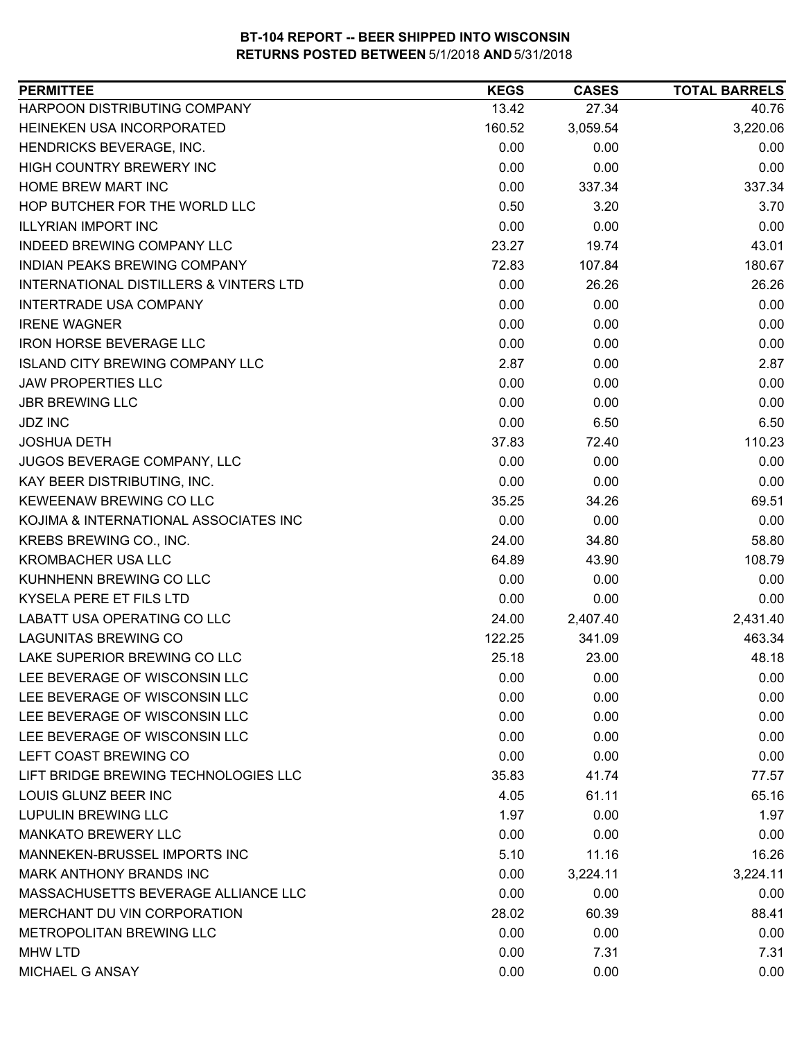| HARPOON DISTRIBUTING COMPANY<br>13.42<br>27.34<br>40.76<br>HEINEKEN USA INCORPORATED<br>3,220.06<br>160.52<br>3,059.54<br>HENDRICKS BEVERAGE, INC.<br>0.00<br>0.00<br>0.00<br>0.00<br>0.00<br>HIGH COUNTRY BREWERY INC<br>0.00<br>HOME BREW MART INC<br>0.00<br>337.34<br>337.34<br>HOP BUTCHER FOR THE WORLD LLC<br>0.50<br>3.70<br>3.20<br><b>ILLYRIAN IMPORT INC</b><br>0.00<br>0.00<br>0.00<br><b>INDEED BREWING COMPANY LLC</b><br>23.27<br>19.74<br>43.01<br>INDIAN PEAKS BREWING COMPANY<br>72.83<br>180.67<br>107.84<br><b>INTERNATIONAL DISTILLERS &amp; VINTERS LTD</b><br>0.00<br>26.26<br>26.26<br>0.00<br><b>INTERTRADE USA COMPANY</b><br>0.00<br>0.00<br><b>IRENE WAGNER</b><br>0.00<br>0.00<br>0.00<br>0.00<br><b>IRON HORSE BEVERAGE LLC</b><br>0.00<br>0.00<br><b>ISLAND CITY BREWING COMPANY LLC</b><br>2.87<br>0.00<br>2.87<br><b>JAW PROPERTIES LLC</b><br>0.00<br>0.00<br>0.00<br><b>JBR BREWING LLC</b><br>0.00<br>0.00<br>0.00<br>0.00<br><b>JDZ INC</b><br>6.50<br>6.50<br>110.23<br><b>JOSHUA DETH</b><br>37.83<br>72.40<br>JUGOS BEVERAGE COMPANY, LLC<br>0.00<br>0.00<br>0.00<br>KAY BEER DISTRIBUTING, INC.<br>0.00<br>0.00<br>0.00<br>KEWEENAW BREWING CO LLC<br>35.25<br>34.26<br>69.51<br>KOJIMA & INTERNATIONAL ASSOCIATES INC<br>0.00<br>0.00<br>0.00<br>KREBS BREWING CO., INC.<br>58.80<br>24.00<br>34.80<br><b>KROMBACHER USA LLC</b><br>64.89<br>43.90<br>108.79<br>0.00<br>0.00<br>0.00<br>0.00<br>0.00<br>0.00<br>2,431.40<br>24.00<br>2,407.40<br>341.09<br>463.34<br>122.25<br>LAKE SUPERIOR BREWING CO LLC<br>25.18<br>23.00<br>48.18<br>0.00<br>0.00<br>0.00<br>0.00<br>0.00<br>0.00<br>0.00<br>0.00<br>0.00<br>0.00<br>0.00<br>0.00<br>0.00<br>0.00<br>0.00<br>35.83<br>41.74<br>77.57<br>4.05<br>61.11<br>65.16<br>1.97<br>0.00<br>1.97<br>0.00<br>0.00<br>0.00<br>5.10<br>11.16<br>16.26<br>0.00<br>3,224.11<br>3,224.11<br>0.00<br>0.00<br>0.00<br>60.39<br>88.41<br>28.02<br>0.00<br>0.00<br>0.00<br>0.00<br>7.31<br>7.31<br>0.00<br>0.00<br>0.00 | <b>PERMITTEE</b>                     | <b>KEGS</b> | <b>CASES</b> | <b>TOTAL BARRELS</b> |
|----------------------------------------------------------------------------------------------------------------------------------------------------------------------------------------------------------------------------------------------------------------------------------------------------------------------------------------------------------------------------------------------------------------------------------------------------------------------------------------------------------------------------------------------------------------------------------------------------------------------------------------------------------------------------------------------------------------------------------------------------------------------------------------------------------------------------------------------------------------------------------------------------------------------------------------------------------------------------------------------------------------------------------------------------------------------------------------------------------------------------------------------------------------------------------------------------------------------------------------------------------------------------------------------------------------------------------------------------------------------------------------------------------------------------------------------------------------------------------------------------------------------------------------------------------------------------------------------------------------------------------------------------------------------------------------------------------------------------------------------------------------------------------------------------------------------------------------------------------------------------------------------------------------------------------------------------------------------------------------------------|--------------------------------------|-------------|--------------|----------------------|
|                                                                                                                                                                                                                                                                                                                                                                                                                                                                                                                                                                                                                                                                                                                                                                                                                                                                                                                                                                                                                                                                                                                                                                                                                                                                                                                                                                                                                                                                                                                                                                                                                                                                                                                                                                                                                                                                                                                                                                                                    |                                      |             |              |                      |
|                                                                                                                                                                                                                                                                                                                                                                                                                                                                                                                                                                                                                                                                                                                                                                                                                                                                                                                                                                                                                                                                                                                                                                                                                                                                                                                                                                                                                                                                                                                                                                                                                                                                                                                                                                                                                                                                                                                                                                                                    |                                      |             |              |                      |
|                                                                                                                                                                                                                                                                                                                                                                                                                                                                                                                                                                                                                                                                                                                                                                                                                                                                                                                                                                                                                                                                                                                                                                                                                                                                                                                                                                                                                                                                                                                                                                                                                                                                                                                                                                                                                                                                                                                                                                                                    |                                      |             |              |                      |
|                                                                                                                                                                                                                                                                                                                                                                                                                                                                                                                                                                                                                                                                                                                                                                                                                                                                                                                                                                                                                                                                                                                                                                                                                                                                                                                                                                                                                                                                                                                                                                                                                                                                                                                                                                                                                                                                                                                                                                                                    |                                      |             |              |                      |
|                                                                                                                                                                                                                                                                                                                                                                                                                                                                                                                                                                                                                                                                                                                                                                                                                                                                                                                                                                                                                                                                                                                                                                                                                                                                                                                                                                                                                                                                                                                                                                                                                                                                                                                                                                                                                                                                                                                                                                                                    |                                      |             |              |                      |
|                                                                                                                                                                                                                                                                                                                                                                                                                                                                                                                                                                                                                                                                                                                                                                                                                                                                                                                                                                                                                                                                                                                                                                                                                                                                                                                                                                                                                                                                                                                                                                                                                                                                                                                                                                                                                                                                                                                                                                                                    |                                      |             |              |                      |
|                                                                                                                                                                                                                                                                                                                                                                                                                                                                                                                                                                                                                                                                                                                                                                                                                                                                                                                                                                                                                                                                                                                                                                                                                                                                                                                                                                                                                                                                                                                                                                                                                                                                                                                                                                                                                                                                                                                                                                                                    |                                      |             |              |                      |
|                                                                                                                                                                                                                                                                                                                                                                                                                                                                                                                                                                                                                                                                                                                                                                                                                                                                                                                                                                                                                                                                                                                                                                                                                                                                                                                                                                                                                                                                                                                                                                                                                                                                                                                                                                                                                                                                                                                                                                                                    |                                      |             |              |                      |
|                                                                                                                                                                                                                                                                                                                                                                                                                                                                                                                                                                                                                                                                                                                                                                                                                                                                                                                                                                                                                                                                                                                                                                                                                                                                                                                                                                                                                                                                                                                                                                                                                                                                                                                                                                                                                                                                                                                                                                                                    |                                      |             |              |                      |
|                                                                                                                                                                                                                                                                                                                                                                                                                                                                                                                                                                                                                                                                                                                                                                                                                                                                                                                                                                                                                                                                                                                                                                                                                                                                                                                                                                                                                                                                                                                                                                                                                                                                                                                                                                                                                                                                                                                                                                                                    |                                      |             |              |                      |
|                                                                                                                                                                                                                                                                                                                                                                                                                                                                                                                                                                                                                                                                                                                                                                                                                                                                                                                                                                                                                                                                                                                                                                                                                                                                                                                                                                                                                                                                                                                                                                                                                                                                                                                                                                                                                                                                                                                                                                                                    |                                      |             |              |                      |
|                                                                                                                                                                                                                                                                                                                                                                                                                                                                                                                                                                                                                                                                                                                                                                                                                                                                                                                                                                                                                                                                                                                                                                                                                                                                                                                                                                                                                                                                                                                                                                                                                                                                                                                                                                                                                                                                                                                                                                                                    |                                      |             |              |                      |
|                                                                                                                                                                                                                                                                                                                                                                                                                                                                                                                                                                                                                                                                                                                                                                                                                                                                                                                                                                                                                                                                                                                                                                                                                                                                                                                                                                                                                                                                                                                                                                                                                                                                                                                                                                                                                                                                                                                                                                                                    |                                      |             |              |                      |
|                                                                                                                                                                                                                                                                                                                                                                                                                                                                                                                                                                                                                                                                                                                                                                                                                                                                                                                                                                                                                                                                                                                                                                                                                                                                                                                                                                                                                                                                                                                                                                                                                                                                                                                                                                                                                                                                                                                                                                                                    |                                      |             |              |                      |
|                                                                                                                                                                                                                                                                                                                                                                                                                                                                                                                                                                                                                                                                                                                                                                                                                                                                                                                                                                                                                                                                                                                                                                                                                                                                                                                                                                                                                                                                                                                                                                                                                                                                                                                                                                                                                                                                                                                                                                                                    |                                      |             |              |                      |
|                                                                                                                                                                                                                                                                                                                                                                                                                                                                                                                                                                                                                                                                                                                                                                                                                                                                                                                                                                                                                                                                                                                                                                                                                                                                                                                                                                                                                                                                                                                                                                                                                                                                                                                                                                                                                                                                                                                                                                                                    |                                      |             |              |                      |
|                                                                                                                                                                                                                                                                                                                                                                                                                                                                                                                                                                                                                                                                                                                                                                                                                                                                                                                                                                                                                                                                                                                                                                                                                                                                                                                                                                                                                                                                                                                                                                                                                                                                                                                                                                                                                                                                                                                                                                                                    |                                      |             |              |                      |
|                                                                                                                                                                                                                                                                                                                                                                                                                                                                                                                                                                                                                                                                                                                                                                                                                                                                                                                                                                                                                                                                                                                                                                                                                                                                                                                                                                                                                                                                                                                                                                                                                                                                                                                                                                                                                                                                                                                                                                                                    |                                      |             |              |                      |
|                                                                                                                                                                                                                                                                                                                                                                                                                                                                                                                                                                                                                                                                                                                                                                                                                                                                                                                                                                                                                                                                                                                                                                                                                                                                                                                                                                                                                                                                                                                                                                                                                                                                                                                                                                                                                                                                                                                                                                                                    |                                      |             |              |                      |
|                                                                                                                                                                                                                                                                                                                                                                                                                                                                                                                                                                                                                                                                                                                                                                                                                                                                                                                                                                                                                                                                                                                                                                                                                                                                                                                                                                                                                                                                                                                                                                                                                                                                                                                                                                                                                                                                                                                                                                                                    |                                      |             |              |                      |
|                                                                                                                                                                                                                                                                                                                                                                                                                                                                                                                                                                                                                                                                                                                                                                                                                                                                                                                                                                                                                                                                                                                                                                                                                                                                                                                                                                                                                                                                                                                                                                                                                                                                                                                                                                                                                                                                                                                                                                                                    |                                      |             |              |                      |
|                                                                                                                                                                                                                                                                                                                                                                                                                                                                                                                                                                                                                                                                                                                                                                                                                                                                                                                                                                                                                                                                                                                                                                                                                                                                                                                                                                                                                                                                                                                                                                                                                                                                                                                                                                                                                                                                                                                                                                                                    |                                      |             |              |                      |
|                                                                                                                                                                                                                                                                                                                                                                                                                                                                                                                                                                                                                                                                                                                                                                                                                                                                                                                                                                                                                                                                                                                                                                                                                                                                                                                                                                                                                                                                                                                                                                                                                                                                                                                                                                                                                                                                                                                                                                                                    |                                      |             |              |                      |
|                                                                                                                                                                                                                                                                                                                                                                                                                                                                                                                                                                                                                                                                                                                                                                                                                                                                                                                                                                                                                                                                                                                                                                                                                                                                                                                                                                                                                                                                                                                                                                                                                                                                                                                                                                                                                                                                                                                                                                                                    |                                      |             |              |                      |
|                                                                                                                                                                                                                                                                                                                                                                                                                                                                                                                                                                                                                                                                                                                                                                                                                                                                                                                                                                                                                                                                                                                                                                                                                                                                                                                                                                                                                                                                                                                                                                                                                                                                                                                                                                                                                                                                                                                                                                                                    | KUHNHENN BREWING CO LLC              |             |              |                      |
|                                                                                                                                                                                                                                                                                                                                                                                                                                                                                                                                                                                                                                                                                                                                                                                                                                                                                                                                                                                                                                                                                                                                                                                                                                                                                                                                                                                                                                                                                                                                                                                                                                                                                                                                                                                                                                                                                                                                                                                                    | KYSELA PERE ET FILS LTD              |             |              |                      |
|                                                                                                                                                                                                                                                                                                                                                                                                                                                                                                                                                                                                                                                                                                                                                                                                                                                                                                                                                                                                                                                                                                                                                                                                                                                                                                                                                                                                                                                                                                                                                                                                                                                                                                                                                                                                                                                                                                                                                                                                    | LABATT USA OPERATING CO LLC          |             |              |                      |
|                                                                                                                                                                                                                                                                                                                                                                                                                                                                                                                                                                                                                                                                                                                                                                                                                                                                                                                                                                                                                                                                                                                                                                                                                                                                                                                                                                                                                                                                                                                                                                                                                                                                                                                                                                                                                                                                                                                                                                                                    | <b>LAGUNITAS BREWING CO</b>          |             |              |                      |
|                                                                                                                                                                                                                                                                                                                                                                                                                                                                                                                                                                                                                                                                                                                                                                                                                                                                                                                                                                                                                                                                                                                                                                                                                                                                                                                                                                                                                                                                                                                                                                                                                                                                                                                                                                                                                                                                                                                                                                                                    |                                      |             |              |                      |
|                                                                                                                                                                                                                                                                                                                                                                                                                                                                                                                                                                                                                                                                                                                                                                                                                                                                                                                                                                                                                                                                                                                                                                                                                                                                                                                                                                                                                                                                                                                                                                                                                                                                                                                                                                                                                                                                                                                                                                                                    | LEE BEVERAGE OF WISCONSIN LLC        |             |              |                      |
|                                                                                                                                                                                                                                                                                                                                                                                                                                                                                                                                                                                                                                                                                                                                                                                                                                                                                                                                                                                                                                                                                                                                                                                                                                                                                                                                                                                                                                                                                                                                                                                                                                                                                                                                                                                                                                                                                                                                                                                                    | LEE BEVERAGE OF WISCONSIN LLC        |             |              |                      |
|                                                                                                                                                                                                                                                                                                                                                                                                                                                                                                                                                                                                                                                                                                                                                                                                                                                                                                                                                                                                                                                                                                                                                                                                                                                                                                                                                                                                                                                                                                                                                                                                                                                                                                                                                                                                                                                                                                                                                                                                    | LEE BEVERAGE OF WISCONSIN LLC        |             |              |                      |
|                                                                                                                                                                                                                                                                                                                                                                                                                                                                                                                                                                                                                                                                                                                                                                                                                                                                                                                                                                                                                                                                                                                                                                                                                                                                                                                                                                                                                                                                                                                                                                                                                                                                                                                                                                                                                                                                                                                                                                                                    | LEE BEVERAGE OF WISCONSIN LLC        |             |              |                      |
|                                                                                                                                                                                                                                                                                                                                                                                                                                                                                                                                                                                                                                                                                                                                                                                                                                                                                                                                                                                                                                                                                                                                                                                                                                                                                                                                                                                                                                                                                                                                                                                                                                                                                                                                                                                                                                                                                                                                                                                                    | LEFT COAST BREWING CO                |             |              |                      |
|                                                                                                                                                                                                                                                                                                                                                                                                                                                                                                                                                                                                                                                                                                                                                                                                                                                                                                                                                                                                                                                                                                                                                                                                                                                                                                                                                                                                                                                                                                                                                                                                                                                                                                                                                                                                                                                                                                                                                                                                    | LIFT BRIDGE BREWING TECHNOLOGIES LLC |             |              |                      |
|                                                                                                                                                                                                                                                                                                                                                                                                                                                                                                                                                                                                                                                                                                                                                                                                                                                                                                                                                                                                                                                                                                                                                                                                                                                                                                                                                                                                                                                                                                                                                                                                                                                                                                                                                                                                                                                                                                                                                                                                    | LOUIS GLUNZ BEER INC                 |             |              |                      |
|                                                                                                                                                                                                                                                                                                                                                                                                                                                                                                                                                                                                                                                                                                                                                                                                                                                                                                                                                                                                                                                                                                                                                                                                                                                                                                                                                                                                                                                                                                                                                                                                                                                                                                                                                                                                                                                                                                                                                                                                    | <b>LUPULIN BREWING LLC</b>           |             |              |                      |
|                                                                                                                                                                                                                                                                                                                                                                                                                                                                                                                                                                                                                                                                                                                                                                                                                                                                                                                                                                                                                                                                                                                                                                                                                                                                                                                                                                                                                                                                                                                                                                                                                                                                                                                                                                                                                                                                                                                                                                                                    | <b>MANKATO BREWERY LLC</b>           |             |              |                      |
|                                                                                                                                                                                                                                                                                                                                                                                                                                                                                                                                                                                                                                                                                                                                                                                                                                                                                                                                                                                                                                                                                                                                                                                                                                                                                                                                                                                                                                                                                                                                                                                                                                                                                                                                                                                                                                                                                                                                                                                                    | MANNEKEN-BRUSSEL IMPORTS INC         |             |              |                      |
|                                                                                                                                                                                                                                                                                                                                                                                                                                                                                                                                                                                                                                                                                                                                                                                                                                                                                                                                                                                                                                                                                                                                                                                                                                                                                                                                                                                                                                                                                                                                                                                                                                                                                                                                                                                                                                                                                                                                                                                                    | <b>MARK ANTHONY BRANDS INC</b>       |             |              |                      |
|                                                                                                                                                                                                                                                                                                                                                                                                                                                                                                                                                                                                                                                                                                                                                                                                                                                                                                                                                                                                                                                                                                                                                                                                                                                                                                                                                                                                                                                                                                                                                                                                                                                                                                                                                                                                                                                                                                                                                                                                    | MASSACHUSETTS BEVERAGE ALLIANCE LLC  |             |              |                      |
|                                                                                                                                                                                                                                                                                                                                                                                                                                                                                                                                                                                                                                                                                                                                                                                                                                                                                                                                                                                                                                                                                                                                                                                                                                                                                                                                                                                                                                                                                                                                                                                                                                                                                                                                                                                                                                                                                                                                                                                                    | MERCHANT DU VIN CORPORATION          |             |              |                      |
|                                                                                                                                                                                                                                                                                                                                                                                                                                                                                                                                                                                                                                                                                                                                                                                                                                                                                                                                                                                                                                                                                                                                                                                                                                                                                                                                                                                                                                                                                                                                                                                                                                                                                                                                                                                                                                                                                                                                                                                                    | METROPOLITAN BREWING LLC             |             |              |                      |
|                                                                                                                                                                                                                                                                                                                                                                                                                                                                                                                                                                                                                                                                                                                                                                                                                                                                                                                                                                                                                                                                                                                                                                                                                                                                                                                                                                                                                                                                                                                                                                                                                                                                                                                                                                                                                                                                                                                                                                                                    | <b>MHW LTD</b>                       |             |              |                      |
|                                                                                                                                                                                                                                                                                                                                                                                                                                                                                                                                                                                                                                                                                                                                                                                                                                                                                                                                                                                                                                                                                                                                                                                                                                                                                                                                                                                                                                                                                                                                                                                                                                                                                                                                                                                                                                                                                                                                                                                                    | MICHAEL G ANSAY                      |             |              |                      |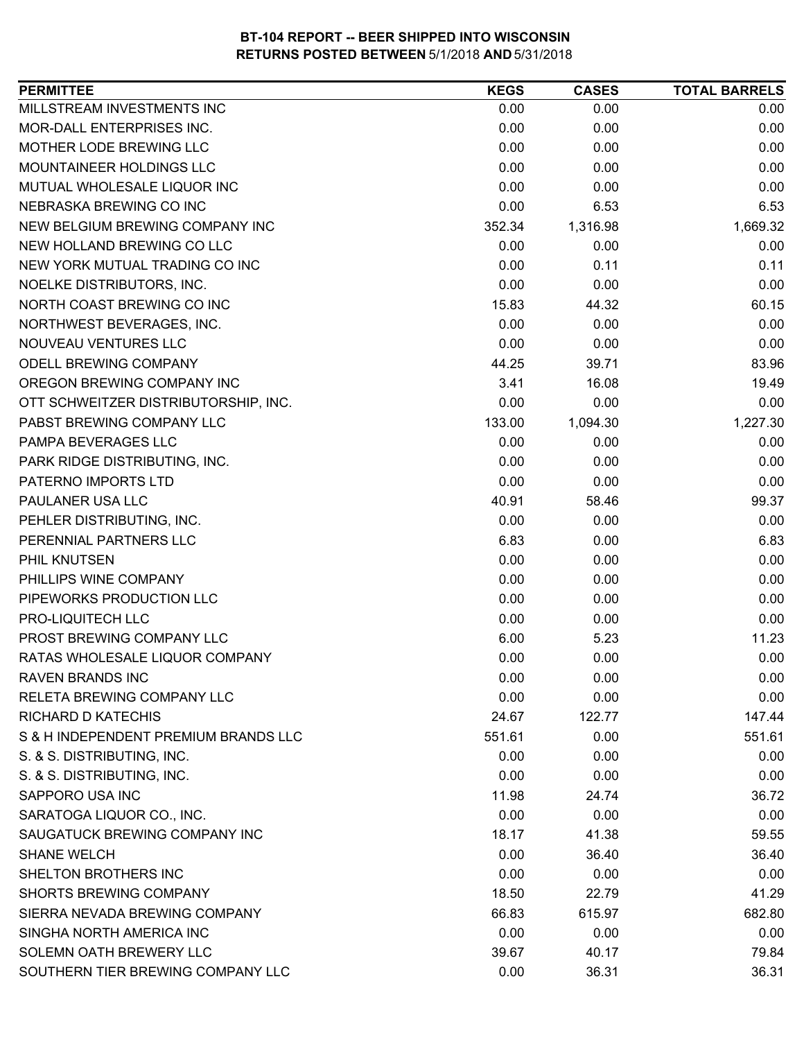| 0.00<br>0.00<br>0.00<br>MOR-DALL ENTERPRISES INC.<br>0.00<br>0.00<br>0.00<br>MOTHER LODE BREWING LLC<br>0.00<br>0.00<br>0.00<br>MOUNTAINEER HOLDINGS LLC<br>0.00<br>0.00<br>0.00<br>0.00<br>0.00<br>0.00<br>0.00<br>6.53<br>6.53<br>NEW BELGIUM BREWING COMPANY INC<br>1,316.98<br>1,669.32<br>352.34<br>0.00<br>0.00<br>0.00<br>0.11<br>NEW YORK MUTUAL TRADING CO INC<br>0.00<br>0.11<br>0.00<br>0.00<br>0.00<br>NORTH COAST BREWING CO INC<br>15.83<br>60.15<br>44.32<br>NORTHWEST BEVERAGES, INC.<br>0.00<br>0.00<br>0.00<br>NOUVEAU VENTURES LLC<br>0.00<br>0.00<br>0.00<br><b>ODELL BREWING COMPANY</b><br>44.25<br>83.96<br>39.71<br>OREGON BREWING COMPANY INC<br>19.49<br>3.41<br>16.08<br>0.00<br>0.00<br>0.00<br>OTT SCHWEITZER DISTRIBUTORSHIP, INC.<br>1,227.30<br>PABST BREWING COMPANY LLC<br>133.00<br>1,094.30<br>0.00<br>0.00<br>0.00<br>0.00<br>0.00<br>0.00<br>PATERNO IMPORTS LTD<br>0.00<br>0.00<br>0.00<br>99.37<br>40.91<br>58.46<br>0.00<br>0.00<br>0.00<br>PERENNIAL PARTNERS LLC<br>6.83<br>6.83<br>0.00<br>0.00<br>0.00<br>0.00<br>0.00<br>0.00<br>0.00<br>PIPEWORKS PRODUCTION LLC<br>0.00<br>0.00<br>0.00<br>0.00<br>0.00<br>0.00<br>PROST BREWING COMPANY LLC<br>11.23<br>6.00<br>5.23<br>RATAS WHOLESALE LIQUOR COMPANY<br>0.00<br>0.00<br>0.00<br><b>RAVEN BRANDS INC</b><br>0.00<br>0.00<br>0.00<br>0.00<br>0.00<br>0.00<br>24.67<br>122.77<br>147.44<br>S & H INDEPENDENT PREMIUM BRANDS LLC<br>551.61<br>0.00<br>551.61<br>S. & S. DISTRIBUTING, INC.<br>0.00<br>0.00<br>0.00<br>S. & S. DISTRIBUTING, INC.<br>0.00<br>0.00<br>0.00<br>SAPPORO USA INC<br>36.72<br>11.98<br>24.74<br>SARATOGA LIQUOR CO., INC.<br>0.00<br>0.00<br>0.00<br>SAUGATUCK BREWING COMPANY INC<br>18.17<br>41.38<br>59.55<br><b>SHANE WELCH</b><br>0.00<br>36.40<br>36.40<br>SHELTON BROTHERS INC<br>0.00<br>0.00<br>0.00<br><b>SHORTS BREWING COMPANY</b><br>41.29<br>18.50<br>22.79<br>66.83<br>682.80<br>SIERRA NEVADA BREWING COMPANY<br>615.97<br>SINGHA NORTH AMERICA INC<br>0.00<br>0.00<br>0.00<br>SOLEMN OATH BREWERY LLC<br>79.84<br>39.67<br>40.17<br>SOUTHERN TIER BREWING COMPANY LLC<br>36.31<br>36.31<br>0.00 | <b>PERMITTEE</b>              | <b>KEGS</b> | <b>CASES</b> | <b>TOTAL BARRELS</b> |
|-------------------------------------------------------------------------------------------------------------------------------------------------------------------------------------------------------------------------------------------------------------------------------------------------------------------------------------------------------------------------------------------------------------------------------------------------------------------------------------------------------------------------------------------------------------------------------------------------------------------------------------------------------------------------------------------------------------------------------------------------------------------------------------------------------------------------------------------------------------------------------------------------------------------------------------------------------------------------------------------------------------------------------------------------------------------------------------------------------------------------------------------------------------------------------------------------------------------------------------------------------------------------------------------------------------------------------------------------------------------------------------------------------------------------------------------------------------------------------------------------------------------------------------------------------------------------------------------------------------------------------------------------------------------------------------------------------------------------------------------------------------------------------------------------------------------------------------------------------------------------------------------------------------------------------------------------------------------------------------------------------------------------------------------------------------------------------------------------------------------------------------------|-------------------------------|-------------|--------------|----------------------|
|                                                                                                                                                                                                                                                                                                                                                                                                                                                                                                                                                                                                                                                                                                                                                                                                                                                                                                                                                                                                                                                                                                                                                                                                                                                                                                                                                                                                                                                                                                                                                                                                                                                                                                                                                                                                                                                                                                                                                                                                                                                                                                                                           | MILLSTREAM INVESTMENTS INC    |             |              |                      |
|                                                                                                                                                                                                                                                                                                                                                                                                                                                                                                                                                                                                                                                                                                                                                                                                                                                                                                                                                                                                                                                                                                                                                                                                                                                                                                                                                                                                                                                                                                                                                                                                                                                                                                                                                                                                                                                                                                                                                                                                                                                                                                                                           |                               |             |              |                      |
|                                                                                                                                                                                                                                                                                                                                                                                                                                                                                                                                                                                                                                                                                                                                                                                                                                                                                                                                                                                                                                                                                                                                                                                                                                                                                                                                                                                                                                                                                                                                                                                                                                                                                                                                                                                                                                                                                                                                                                                                                                                                                                                                           |                               |             |              |                      |
|                                                                                                                                                                                                                                                                                                                                                                                                                                                                                                                                                                                                                                                                                                                                                                                                                                                                                                                                                                                                                                                                                                                                                                                                                                                                                                                                                                                                                                                                                                                                                                                                                                                                                                                                                                                                                                                                                                                                                                                                                                                                                                                                           |                               |             |              |                      |
|                                                                                                                                                                                                                                                                                                                                                                                                                                                                                                                                                                                                                                                                                                                                                                                                                                                                                                                                                                                                                                                                                                                                                                                                                                                                                                                                                                                                                                                                                                                                                                                                                                                                                                                                                                                                                                                                                                                                                                                                                                                                                                                                           | MUTUAL WHOLESALE LIQUOR INC   |             |              |                      |
|                                                                                                                                                                                                                                                                                                                                                                                                                                                                                                                                                                                                                                                                                                                                                                                                                                                                                                                                                                                                                                                                                                                                                                                                                                                                                                                                                                                                                                                                                                                                                                                                                                                                                                                                                                                                                                                                                                                                                                                                                                                                                                                                           | NEBRASKA BREWING CO INC       |             |              |                      |
|                                                                                                                                                                                                                                                                                                                                                                                                                                                                                                                                                                                                                                                                                                                                                                                                                                                                                                                                                                                                                                                                                                                                                                                                                                                                                                                                                                                                                                                                                                                                                                                                                                                                                                                                                                                                                                                                                                                                                                                                                                                                                                                                           |                               |             |              |                      |
|                                                                                                                                                                                                                                                                                                                                                                                                                                                                                                                                                                                                                                                                                                                                                                                                                                                                                                                                                                                                                                                                                                                                                                                                                                                                                                                                                                                                                                                                                                                                                                                                                                                                                                                                                                                                                                                                                                                                                                                                                                                                                                                                           | NEW HOLLAND BREWING CO LLC    |             |              |                      |
|                                                                                                                                                                                                                                                                                                                                                                                                                                                                                                                                                                                                                                                                                                                                                                                                                                                                                                                                                                                                                                                                                                                                                                                                                                                                                                                                                                                                                                                                                                                                                                                                                                                                                                                                                                                                                                                                                                                                                                                                                                                                                                                                           |                               |             |              |                      |
|                                                                                                                                                                                                                                                                                                                                                                                                                                                                                                                                                                                                                                                                                                                                                                                                                                                                                                                                                                                                                                                                                                                                                                                                                                                                                                                                                                                                                                                                                                                                                                                                                                                                                                                                                                                                                                                                                                                                                                                                                                                                                                                                           | NOELKE DISTRIBUTORS, INC.     |             |              |                      |
|                                                                                                                                                                                                                                                                                                                                                                                                                                                                                                                                                                                                                                                                                                                                                                                                                                                                                                                                                                                                                                                                                                                                                                                                                                                                                                                                                                                                                                                                                                                                                                                                                                                                                                                                                                                                                                                                                                                                                                                                                                                                                                                                           |                               |             |              |                      |
|                                                                                                                                                                                                                                                                                                                                                                                                                                                                                                                                                                                                                                                                                                                                                                                                                                                                                                                                                                                                                                                                                                                                                                                                                                                                                                                                                                                                                                                                                                                                                                                                                                                                                                                                                                                                                                                                                                                                                                                                                                                                                                                                           |                               |             |              |                      |
|                                                                                                                                                                                                                                                                                                                                                                                                                                                                                                                                                                                                                                                                                                                                                                                                                                                                                                                                                                                                                                                                                                                                                                                                                                                                                                                                                                                                                                                                                                                                                                                                                                                                                                                                                                                                                                                                                                                                                                                                                                                                                                                                           |                               |             |              |                      |
|                                                                                                                                                                                                                                                                                                                                                                                                                                                                                                                                                                                                                                                                                                                                                                                                                                                                                                                                                                                                                                                                                                                                                                                                                                                                                                                                                                                                                                                                                                                                                                                                                                                                                                                                                                                                                                                                                                                                                                                                                                                                                                                                           |                               |             |              |                      |
|                                                                                                                                                                                                                                                                                                                                                                                                                                                                                                                                                                                                                                                                                                                                                                                                                                                                                                                                                                                                                                                                                                                                                                                                                                                                                                                                                                                                                                                                                                                                                                                                                                                                                                                                                                                                                                                                                                                                                                                                                                                                                                                                           |                               |             |              |                      |
|                                                                                                                                                                                                                                                                                                                                                                                                                                                                                                                                                                                                                                                                                                                                                                                                                                                                                                                                                                                                                                                                                                                                                                                                                                                                                                                                                                                                                                                                                                                                                                                                                                                                                                                                                                                                                                                                                                                                                                                                                                                                                                                                           |                               |             |              |                      |
|                                                                                                                                                                                                                                                                                                                                                                                                                                                                                                                                                                                                                                                                                                                                                                                                                                                                                                                                                                                                                                                                                                                                                                                                                                                                                                                                                                                                                                                                                                                                                                                                                                                                                                                                                                                                                                                                                                                                                                                                                                                                                                                                           |                               |             |              |                      |
|                                                                                                                                                                                                                                                                                                                                                                                                                                                                                                                                                                                                                                                                                                                                                                                                                                                                                                                                                                                                                                                                                                                                                                                                                                                                                                                                                                                                                                                                                                                                                                                                                                                                                                                                                                                                                                                                                                                                                                                                                                                                                                                                           | PAMPA BEVERAGES LLC           |             |              |                      |
|                                                                                                                                                                                                                                                                                                                                                                                                                                                                                                                                                                                                                                                                                                                                                                                                                                                                                                                                                                                                                                                                                                                                                                                                                                                                                                                                                                                                                                                                                                                                                                                                                                                                                                                                                                                                                                                                                                                                                                                                                                                                                                                                           | PARK RIDGE DISTRIBUTING, INC. |             |              |                      |
|                                                                                                                                                                                                                                                                                                                                                                                                                                                                                                                                                                                                                                                                                                                                                                                                                                                                                                                                                                                                                                                                                                                                                                                                                                                                                                                                                                                                                                                                                                                                                                                                                                                                                                                                                                                                                                                                                                                                                                                                                                                                                                                                           |                               |             |              |                      |
|                                                                                                                                                                                                                                                                                                                                                                                                                                                                                                                                                                                                                                                                                                                                                                                                                                                                                                                                                                                                                                                                                                                                                                                                                                                                                                                                                                                                                                                                                                                                                                                                                                                                                                                                                                                                                                                                                                                                                                                                                                                                                                                                           | PAULANER USA LLC              |             |              |                      |
|                                                                                                                                                                                                                                                                                                                                                                                                                                                                                                                                                                                                                                                                                                                                                                                                                                                                                                                                                                                                                                                                                                                                                                                                                                                                                                                                                                                                                                                                                                                                                                                                                                                                                                                                                                                                                                                                                                                                                                                                                                                                                                                                           | PEHLER DISTRIBUTING, INC.     |             |              |                      |
|                                                                                                                                                                                                                                                                                                                                                                                                                                                                                                                                                                                                                                                                                                                                                                                                                                                                                                                                                                                                                                                                                                                                                                                                                                                                                                                                                                                                                                                                                                                                                                                                                                                                                                                                                                                                                                                                                                                                                                                                                                                                                                                                           |                               |             |              |                      |
|                                                                                                                                                                                                                                                                                                                                                                                                                                                                                                                                                                                                                                                                                                                                                                                                                                                                                                                                                                                                                                                                                                                                                                                                                                                                                                                                                                                                                                                                                                                                                                                                                                                                                                                                                                                                                                                                                                                                                                                                                                                                                                                                           | PHIL KNUTSEN                  |             |              |                      |
|                                                                                                                                                                                                                                                                                                                                                                                                                                                                                                                                                                                                                                                                                                                                                                                                                                                                                                                                                                                                                                                                                                                                                                                                                                                                                                                                                                                                                                                                                                                                                                                                                                                                                                                                                                                                                                                                                                                                                                                                                                                                                                                                           | PHILLIPS WINE COMPANY         |             |              |                      |
|                                                                                                                                                                                                                                                                                                                                                                                                                                                                                                                                                                                                                                                                                                                                                                                                                                                                                                                                                                                                                                                                                                                                                                                                                                                                                                                                                                                                                                                                                                                                                                                                                                                                                                                                                                                                                                                                                                                                                                                                                                                                                                                                           |                               |             |              |                      |
|                                                                                                                                                                                                                                                                                                                                                                                                                                                                                                                                                                                                                                                                                                                                                                                                                                                                                                                                                                                                                                                                                                                                                                                                                                                                                                                                                                                                                                                                                                                                                                                                                                                                                                                                                                                                                                                                                                                                                                                                                                                                                                                                           | PRO-LIQUITECH LLC             |             |              |                      |
|                                                                                                                                                                                                                                                                                                                                                                                                                                                                                                                                                                                                                                                                                                                                                                                                                                                                                                                                                                                                                                                                                                                                                                                                                                                                                                                                                                                                                                                                                                                                                                                                                                                                                                                                                                                                                                                                                                                                                                                                                                                                                                                                           |                               |             |              |                      |
|                                                                                                                                                                                                                                                                                                                                                                                                                                                                                                                                                                                                                                                                                                                                                                                                                                                                                                                                                                                                                                                                                                                                                                                                                                                                                                                                                                                                                                                                                                                                                                                                                                                                                                                                                                                                                                                                                                                                                                                                                                                                                                                                           |                               |             |              |                      |
|                                                                                                                                                                                                                                                                                                                                                                                                                                                                                                                                                                                                                                                                                                                                                                                                                                                                                                                                                                                                                                                                                                                                                                                                                                                                                                                                                                                                                                                                                                                                                                                                                                                                                                                                                                                                                                                                                                                                                                                                                                                                                                                                           |                               |             |              |                      |
|                                                                                                                                                                                                                                                                                                                                                                                                                                                                                                                                                                                                                                                                                                                                                                                                                                                                                                                                                                                                                                                                                                                                                                                                                                                                                                                                                                                                                                                                                                                                                                                                                                                                                                                                                                                                                                                                                                                                                                                                                                                                                                                                           | RELETA BREWING COMPANY LLC    |             |              |                      |
|                                                                                                                                                                                                                                                                                                                                                                                                                                                                                                                                                                                                                                                                                                                                                                                                                                                                                                                                                                                                                                                                                                                                                                                                                                                                                                                                                                                                                                                                                                                                                                                                                                                                                                                                                                                                                                                                                                                                                                                                                                                                                                                                           | RICHARD D KATECHIS            |             |              |                      |
|                                                                                                                                                                                                                                                                                                                                                                                                                                                                                                                                                                                                                                                                                                                                                                                                                                                                                                                                                                                                                                                                                                                                                                                                                                                                                                                                                                                                                                                                                                                                                                                                                                                                                                                                                                                                                                                                                                                                                                                                                                                                                                                                           |                               |             |              |                      |
|                                                                                                                                                                                                                                                                                                                                                                                                                                                                                                                                                                                                                                                                                                                                                                                                                                                                                                                                                                                                                                                                                                                                                                                                                                                                                                                                                                                                                                                                                                                                                                                                                                                                                                                                                                                                                                                                                                                                                                                                                                                                                                                                           |                               |             |              |                      |
|                                                                                                                                                                                                                                                                                                                                                                                                                                                                                                                                                                                                                                                                                                                                                                                                                                                                                                                                                                                                                                                                                                                                                                                                                                                                                                                                                                                                                                                                                                                                                                                                                                                                                                                                                                                                                                                                                                                                                                                                                                                                                                                                           |                               |             |              |                      |
|                                                                                                                                                                                                                                                                                                                                                                                                                                                                                                                                                                                                                                                                                                                                                                                                                                                                                                                                                                                                                                                                                                                                                                                                                                                                                                                                                                                                                                                                                                                                                                                                                                                                                                                                                                                                                                                                                                                                                                                                                                                                                                                                           |                               |             |              |                      |
|                                                                                                                                                                                                                                                                                                                                                                                                                                                                                                                                                                                                                                                                                                                                                                                                                                                                                                                                                                                                                                                                                                                                                                                                                                                                                                                                                                                                                                                                                                                                                                                                                                                                                                                                                                                                                                                                                                                                                                                                                                                                                                                                           |                               |             |              |                      |
|                                                                                                                                                                                                                                                                                                                                                                                                                                                                                                                                                                                                                                                                                                                                                                                                                                                                                                                                                                                                                                                                                                                                                                                                                                                                                                                                                                                                                                                                                                                                                                                                                                                                                                                                                                                                                                                                                                                                                                                                                                                                                                                                           |                               |             |              |                      |
|                                                                                                                                                                                                                                                                                                                                                                                                                                                                                                                                                                                                                                                                                                                                                                                                                                                                                                                                                                                                                                                                                                                                                                                                                                                                                                                                                                                                                                                                                                                                                                                                                                                                                                                                                                                                                                                                                                                                                                                                                                                                                                                                           |                               |             |              |                      |
|                                                                                                                                                                                                                                                                                                                                                                                                                                                                                                                                                                                                                                                                                                                                                                                                                                                                                                                                                                                                                                                                                                                                                                                                                                                                                                                                                                                                                                                                                                                                                                                                                                                                                                                                                                                                                                                                                                                                                                                                                                                                                                                                           |                               |             |              |                      |
|                                                                                                                                                                                                                                                                                                                                                                                                                                                                                                                                                                                                                                                                                                                                                                                                                                                                                                                                                                                                                                                                                                                                                                                                                                                                                                                                                                                                                                                                                                                                                                                                                                                                                                                                                                                                                                                                                                                                                                                                                                                                                                                                           |                               |             |              |                      |
|                                                                                                                                                                                                                                                                                                                                                                                                                                                                                                                                                                                                                                                                                                                                                                                                                                                                                                                                                                                                                                                                                                                                                                                                                                                                                                                                                                                                                                                                                                                                                                                                                                                                                                                                                                                                                                                                                                                                                                                                                                                                                                                                           |                               |             |              |                      |
|                                                                                                                                                                                                                                                                                                                                                                                                                                                                                                                                                                                                                                                                                                                                                                                                                                                                                                                                                                                                                                                                                                                                                                                                                                                                                                                                                                                                                                                                                                                                                                                                                                                                                                                                                                                                                                                                                                                                                                                                                                                                                                                                           |                               |             |              |                      |
|                                                                                                                                                                                                                                                                                                                                                                                                                                                                                                                                                                                                                                                                                                                                                                                                                                                                                                                                                                                                                                                                                                                                                                                                                                                                                                                                                                                                                                                                                                                                                                                                                                                                                                                                                                                                                                                                                                                                                                                                                                                                                                                                           |                               |             |              |                      |
|                                                                                                                                                                                                                                                                                                                                                                                                                                                                                                                                                                                                                                                                                                                                                                                                                                                                                                                                                                                                                                                                                                                                                                                                                                                                                                                                                                                                                                                                                                                                                                                                                                                                                                                                                                                                                                                                                                                                                                                                                                                                                                                                           |                               |             |              |                      |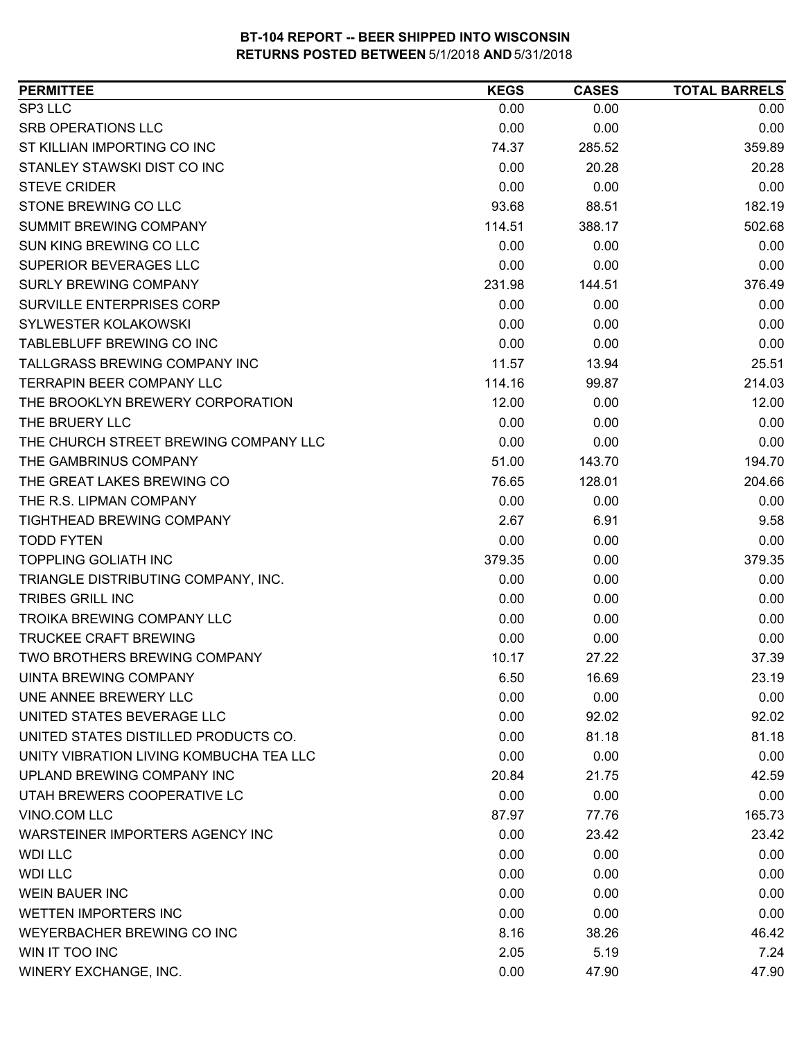| SP3 LLC<br>0.00<br>0.00<br>0.00<br>0.00<br><b>SRB OPERATIONS LLC</b><br>0.00<br>0.00<br>ST KILLIAN IMPORTING CO INC<br>74.37<br>285.52<br>359.89<br>STANLEY STAWSKI DIST CO INC<br>0.00<br>20.28<br>20.28<br>0.00<br><b>STEVE CRIDER</b><br>0.00<br>0.00<br>STONE BREWING CO LLC<br>182.19<br>93.68<br>88.51<br><b>SUMMIT BREWING COMPANY</b><br>502.68<br>114.51<br>388.17<br><b>SUN KING BREWING CO LLC</b><br>0.00<br>0.00<br>0.00<br>SUPERIOR BEVERAGES LLC<br>0.00<br>0.00<br>0.00<br><b>SURLY BREWING COMPANY</b><br>376.49<br>231.98<br>144.51<br><b>SURVILLE ENTERPRISES CORP</b><br>0.00<br>0.00<br>0.00<br>0.00<br>0.00<br>SYLWESTER KOLAKOWSKI<br>0.00<br>TABLEBLUFF BREWING CO INC<br>0.00<br>0.00<br>0.00<br>TALLGRASS BREWING COMPANY INC<br>25.51<br>11.57<br>13.94<br><b>TERRAPIN BEER COMPANY LLC</b><br>214.03<br>114.16<br>99.87<br>THE BROOKLYN BREWERY CORPORATION<br>12.00<br>12.00<br>0.00<br>0.00<br>0.00<br>0.00<br>THE BRUERY LLC<br>THE CHURCH STREET BREWING COMPANY LLC<br>0.00<br>0.00<br>0.00<br>THE GAMBRINUS COMPANY<br>51.00<br>143.70<br>194.70<br>204.66<br>THE GREAT LAKES BREWING CO<br>76.65<br>128.01<br>THE R.S. LIPMAN COMPANY<br>0.00<br>0.00<br>0.00<br>TIGHTHEAD BREWING COMPANY<br>2.67<br>6.91<br>9.58<br><b>TODD FYTEN</b><br>0.00<br>0.00<br>0.00<br>TOPPLING GOLIATH INC<br>379.35<br>379.35<br>0.00<br>0.00<br>TRIANGLE DISTRIBUTING COMPANY, INC.<br>0.00<br>0.00<br><b>TRIBES GRILL INC</b><br>0.00<br>0.00<br>0.00<br><b>TROIKA BREWING COMPANY LLC</b><br>0.00<br>0.00<br>0.00<br><b>TRUCKEE CRAFT BREWING</b><br>0.00<br>0.00<br>0.00<br>TWO BROTHERS BREWING COMPANY<br>10.17<br>27.22<br>37.39<br>UINTA BREWING COMPANY<br>6.50<br>16.69<br>23.19<br>0.00<br>0.00<br>0.00<br>UNE ANNEE BREWERY LLC<br>UNITED STATES BEVERAGE LLC<br>0.00<br>92.02<br>92.02<br>UNITED STATES DISTILLED PRODUCTS CO.<br>0.00<br>81.18<br>81.18<br>0.00<br>UNITY VIBRATION LIVING KOMBUCHA TEA LLC<br>0.00<br>0.00<br>UPLAND BREWING COMPANY INC<br>20.84<br>21.75<br>42.59<br>UTAH BREWERS COOPERATIVE LC<br>0.00<br>0.00<br>0.00<br>VINO.COM LLC<br>87.97<br>77.76<br>165.73<br>WARSTEINER IMPORTERS AGENCY INC<br>0.00<br>23.42<br>0.00<br>0.00<br>0.00<br><b>WDI LLC</b><br><b>WDI LLC</b><br>0.00<br>0.00<br>0.00<br>0.00<br><b>WEIN BAUER INC</b><br>0.00<br>0.00<br><b>WETTEN IMPORTERS INC</b><br>0.00<br>0.00<br>0.00<br>WEYERBACHER BREWING CO INC<br>8.16<br>38.26<br>46.42<br>7.24<br>WIN IT TOO INC<br>2.05<br>5.19<br>0.00<br>WINERY EXCHANGE, INC.<br>47.90<br>47.90 | <b>PERMITTEE</b> | <b>KEGS</b> | <b>CASES</b> | <b>TOTAL BARRELS</b> |
|----------------------------------------------------------------------------------------------------------------------------------------------------------------------------------------------------------------------------------------------------------------------------------------------------------------------------------------------------------------------------------------------------------------------------------------------------------------------------------------------------------------------------------------------------------------------------------------------------------------------------------------------------------------------------------------------------------------------------------------------------------------------------------------------------------------------------------------------------------------------------------------------------------------------------------------------------------------------------------------------------------------------------------------------------------------------------------------------------------------------------------------------------------------------------------------------------------------------------------------------------------------------------------------------------------------------------------------------------------------------------------------------------------------------------------------------------------------------------------------------------------------------------------------------------------------------------------------------------------------------------------------------------------------------------------------------------------------------------------------------------------------------------------------------------------------------------------------------------------------------------------------------------------------------------------------------------------------------------------------------------------------------------------------------------------------------------------------------------------------------------------------------------------------------------------------------------------------------------------------------------------------------------------------------------------------------------------------------------------------------------------------------------------------------------------------------------------------------------------------------------------------------------|------------------|-------------|--------------|----------------------|
|                                                                                                                                                                                                                                                                                                                                                                                                                                                                                                                                                                                                                                                                                                                                                                                                                                                                                                                                                                                                                                                                                                                                                                                                                                                                                                                                                                                                                                                                                                                                                                                                                                                                                                                                                                                                                                                                                                                                                                                                                                                                                                                                                                                                                                                                                                                                                                                                                                                                                                                            |                  |             |              |                      |
|                                                                                                                                                                                                                                                                                                                                                                                                                                                                                                                                                                                                                                                                                                                                                                                                                                                                                                                                                                                                                                                                                                                                                                                                                                                                                                                                                                                                                                                                                                                                                                                                                                                                                                                                                                                                                                                                                                                                                                                                                                                                                                                                                                                                                                                                                                                                                                                                                                                                                                                            |                  |             |              |                      |
|                                                                                                                                                                                                                                                                                                                                                                                                                                                                                                                                                                                                                                                                                                                                                                                                                                                                                                                                                                                                                                                                                                                                                                                                                                                                                                                                                                                                                                                                                                                                                                                                                                                                                                                                                                                                                                                                                                                                                                                                                                                                                                                                                                                                                                                                                                                                                                                                                                                                                                                            |                  |             |              |                      |
|                                                                                                                                                                                                                                                                                                                                                                                                                                                                                                                                                                                                                                                                                                                                                                                                                                                                                                                                                                                                                                                                                                                                                                                                                                                                                                                                                                                                                                                                                                                                                                                                                                                                                                                                                                                                                                                                                                                                                                                                                                                                                                                                                                                                                                                                                                                                                                                                                                                                                                                            |                  |             |              |                      |
|                                                                                                                                                                                                                                                                                                                                                                                                                                                                                                                                                                                                                                                                                                                                                                                                                                                                                                                                                                                                                                                                                                                                                                                                                                                                                                                                                                                                                                                                                                                                                                                                                                                                                                                                                                                                                                                                                                                                                                                                                                                                                                                                                                                                                                                                                                                                                                                                                                                                                                                            |                  |             |              |                      |
|                                                                                                                                                                                                                                                                                                                                                                                                                                                                                                                                                                                                                                                                                                                                                                                                                                                                                                                                                                                                                                                                                                                                                                                                                                                                                                                                                                                                                                                                                                                                                                                                                                                                                                                                                                                                                                                                                                                                                                                                                                                                                                                                                                                                                                                                                                                                                                                                                                                                                                                            |                  |             |              |                      |
|                                                                                                                                                                                                                                                                                                                                                                                                                                                                                                                                                                                                                                                                                                                                                                                                                                                                                                                                                                                                                                                                                                                                                                                                                                                                                                                                                                                                                                                                                                                                                                                                                                                                                                                                                                                                                                                                                                                                                                                                                                                                                                                                                                                                                                                                                                                                                                                                                                                                                                                            |                  |             |              |                      |
|                                                                                                                                                                                                                                                                                                                                                                                                                                                                                                                                                                                                                                                                                                                                                                                                                                                                                                                                                                                                                                                                                                                                                                                                                                                                                                                                                                                                                                                                                                                                                                                                                                                                                                                                                                                                                                                                                                                                                                                                                                                                                                                                                                                                                                                                                                                                                                                                                                                                                                                            |                  |             |              |                      |
|                                                                                                                                                                                                                                                                                                                                                                                                                                                                                                                                                                                                                                                                                                                                                                                                                                                                                                                                                                                                                                                                                                                                                                                                                                                                                                                                                                                                                                                                                                                                                                                                                                                                                                                                                                                                                                                                                                                                                                                                                                                                                                                                                                                                                                                                                                                                                                                                                                                                                                                            |                  |             |              |                      |
|                                                                                                                                                                                                                                                                                                                                                                                                                                                                                                                                                                                                                                                                                                                                                                                                                                                                                                                                                                                                                                                                                                                                                                                                                                                                                                                                                                                                                                                                                                                                                                                                                                                                                                                                                                                                                                                                                                                                                                                                                                                                                                                                                                                                                                                                                                                                                                                                                                                                                                                            |                  |             |              |                      |
| 23.42                                                                                                                                                                                                                                                                                                                                                                                                                                                                                                                                                                                                                                                                                                                                                                                                                                                                                                                                                                                                                                                                                                                                                                                                                                                                                                                                                                                                                                                                                                                                                                                                                                                                                                                                                                                                                                                                                                                                                                                                                                                                                                                                                                                                                                                                                                                                                                                                                                                                                                                      |                  |             |              |                      |
|                                                                                                                                                                                                                                                                                                                                                                                                                                                                                                                                                                                                                                                                                                                                                                                                                                                                                                                                                                                                                                                                                                                                                                                                                                                                                                                                                                                                                                                                                                                                                                                                                                                                                                                                                                                                                                                                                                                                                                                                                                                                                                                                                                                                                                                                                                                                                                                                                                                                                                                            |                  |             |              |                      |
|                                                                                                                                                                                                                                                                                                                                                                                                                                                                                                                                                                                                                                                                                                                                                                                                                                                                                                                                                                                                                                                                                                                                                                                                                                                                                                                                                                                                                                                                                                                                                                                                                                                                                                                                                                                                                                                                                                                                                                                                                                                                                                                                                                                                                                                                                                                                                                                                                                                                                                                            |                  |             |              |                      |
|                                                                                                                                                                                                                                                                                                                                                                                                                                                                                                                                                                                                                                                                                                                                                                                                                                                                                                                                                                                                                                                                                                                                                                                                                                                                                                                                                                                                                                                                                                                                                                                                                                                                                                                                                                                                                                                                                                                                                                                                                                                                                                                                                                                                                                                                                                                                                                                                                                                                                                                            |                  |             |              |                      |
|                                                                                                                                                                                                                                                                                                                                                                                                                                                                                                                                                                                                                                                                                                                                                                                                                                                                                                                                                                                                                                                                                                                                                                                                                                                                                                                                                                                                                                                                                                                                                                                                                                                                                                                                                                                                                                                                                                                                                                                                                                                                                                                                                                                                                                                                                                                                                                                                                                                                                                                            |                  |             |              |                      |
|                                                                                                                                                                                                                                                                                                                                                                                                                                                                                                                                                                                                                                                                                                                                                                                                                                                                                                                                                                                                                                                                                                                                                                                                                                                                                                                                                                                                                                                                                                                                                                                                                                                                                                                                                                                                                                                                                                                                                                                                                                                                                                                                                                                                                                                                                                                                                                                                                                                                                                                            |                  |             |              |                      |
|                                                                                                                                                                                                                                                                                                                                                                                                                                                                                                                                                                                                                                                                                                                                                                                                                                                                                                                                                                                                                                                                                                                                                                                                                                                                                                                                                                                                                                                                                                                                                                                                                                                                                                                                                                                                                                                                                                                                                                                                                                                                                                                                                                                                                                                                                                                                                                                                                                                                                                                            |                  |             |              |                      |
|                                                                                                                                                                                                                                                                                                                                                                                                                                                                                                                                                                                                                                                                                                                                                                                                                                                                                                                                                                                                                                                                                                                                                                                                                                                                                                                                                                                                                                                                                                                                                                                                                                                                                                                                                                                                                                                                                                                                                                                                                                                                                                                                                                                                                                                                                                                                                                                                                                                                                                                            |                  |             |              |                      |
|                                                                                                                                                                                                                                                                                                                                                                                                                                                                                                                                                                                                                                                                                                                                                                                                                                                                                                                                                                                                                                                                                                                                                                                                                                                                                                                                                                                                                                                                                                                                                                                                                                                                                                                                                                                                                                                                                                                                                                                                                                                                                                                                                                                                                                                                                                                                                                                                                                                                                                                            |                  |             |              |                      |
|                                                                                                                                                                                                                                                                                                                                                                                                                                                                                                                                                                                                                                                                                                                                                                                                                                                                                                                                                                                                                                                                                                                                                                                                                                                                                                                                                                                                                                                                                                                                                                                                                                                                                                                                                                                                                                                                                                                                                                                                                                                                                                                                                                                                                                                                                                                                                                                                                                                                                                                            |                  |             |              |                      |
|                                                                                                                                                                                                                                                                                                                                                                                                                                                                                                                                                                                                                                                                                                                                                                                                                                                                                                                                                                                                                                                                                                                                                                                                                                                                                                                                                                                                                                                                                                                                                                                                                                                                                                                                                                                                                                                                                                                                                                                                                                                                                                                                                                                                                                                                                                                                                                                                                                                                                                                            |                  |             |              |                      |
|                                                                                                                                                                                                                                                                                                                                                                                                                                                                                                                                                                                                                                                                                                                                                                                                                                                                                                                                                                                                                                                                                                                                                                                                                                                                                                                                                                                                                                                                                                                                                                                                                                                                                                                                                                                                                                                                                                                                                                                                                                                                                                                                                                                                                                                                                                                                                                                                                                                                                                                            |                  |             |              |                      |
|                                                                                                                                                                                                                                                                                                                                                                                                                                                                                                                                                                                                                                                                                                                                                                                                                                                                                                                                                                                                                                                                                                                                                                                                                                                                                                                                                                                                                                                                                                                                                                                                                                                                                                                                                                                                                                                                                                                                                                                                                                                                                                                                                                                                                                                                                                                                                                                                                                                                                                                            |                  |             |              |                      |
|                                                                                                                                                                                                                                                                                                                                                                                                                                                                                                                                                                                                                                                                                                                                                                                                                                                                                                                                                                                                                                                                                                                                                                                                                                                                                                                                                                                                                                                                                                                                                                                                                                                                                                                                                                                                                                                                                                                                                                                                                                                                                                                                                                                                                                                                                                                                                                                                                                                                                                                            |                  |             |              |                      |
|                                                                                                                                                                                                                                                                                                                                                                                                                                                                                                                                                                                                                                                                                                                                                                                                                                                                                                                                                                                                                                                                                                                                                                                                                                                                                                                                                                                                                                                                                                                                                                                                                                                                                                                                                                                                                                                                                                                                                                                                                                                                                                                                                                                                                                                                                                                                                                                                                                                                                                                            |                  |             |              |                      |
|                                                                                                                                                                                                                                                                                                                                                                                                                                                                                                                                                                                                                                                                                                                                                                                                                                                                                                                                                                                                                                                                                                                                                                                                                                                                                                                                                                                                                                                                                                                                                                                                                                                                                                                                                                                                                                                                                                                                                                                                                                                                                                                                                                                                                                                                                                                                                                                                                                                                                                                            |                  |             |              |                      |
|                                                                                                                                                                                                                                                                                                                                                                                                                                                                                                                                                                                                                                                                                                                                                                                                                                                                                                                                                                                                                                                                                                                                                                                                                                                                                                                                                                                                                                                                                                                                                                                                                                                                                                                                                                                                                                                                                                                                                                                                                                                                                                                                                                                                                                                                                                                                                                                                                                                                                                                            |                  |             |              |                      |
|                                                                                                                                                                                                                                                                                                                                                                                                                                                                                                                                                                                                                                                                                                                                                                                                                                                                                                                                                                                                                                                                                                                                                                                                                                                                                                                                                                                                                                                                                                                                                                                                                                                                                                                                                                                                                                                                                                                                                                                                                                                                                                                                                                                                                                                                                                                                                                                                                                                                                                                            |                  |             |              |                      |
|                                                                                                                                                                                                                                                                                                                                                                                                                                                                                                                                                                                                                                                                                                                                                                                                                                                                                                                                                                                                                                                                                                                                                                                                                                                                                                                                                                                                                                                                                                                                                                                                                                                                                                                                                                                                                                                                                                                                                                                                                                                                                                                                                                                                                                                                                                                                                                                                                                                                                                                            |                  |             |              |                      |
|                                                                                                                                                                                                                                                                                                                                                                                                                                                                                                                                                                                                                                                                                                                                                                                                                                                                                                                                                                                                                                                                                                                                                                                                                                                                                                                                                                                                                                                                                                                                                                                                                                                                                                                                                                                                                                                                                                                                                                                                                                                                                                                                                                                                                                                                                                                                                                                                                                                                                                                            |                  |             |              |                      |
|                                                                                                                                                                                                                                                                                                                                                                                                                                                                                                                                                                                                                                                                                                                                                                                                                                                                                                                                                                                                                                                                                                                                                                                                                                                                                                                                                                                                                                                                                                                                                                                                                                                                                                                                                                                                                                                                                                                                                                                                                                                                                                                                                                                                                                                                                                                                                                                                                                                                                                                            |                  |             |              |                      |
|                                                                                                                                                                                                                                                                                                                                                                                                                                                                                                                                                                                                                                                                                                                                                                                                                                                                                                                                                                                                                                                                                                                                                                                                                                                                                                                                                                                                                                                                                                                                                                                                                                                                                                                                                                                                                                                                                                                                                                                                                                                                                                                                                                                                                                                                                                                                                                                                                                                                                                                            |                  |             |              |                      |
|                                                                                                                                                                                                                                                                                                                                                                                                                                                                                                                                                                                                                                                                                                                                                                                                                                                                                                                                                                                                                                                                                                                                                                                                                                                                                                                                                                                                                                                                                                                                                                                                                                                                                                                                                                                                                                                                                                                                                                                                                                                                                                                                                                                                                                                                                                                                                                                                                                                                                                                            |                  |             |              |                      |
|                                                                                                                                                                                                                                                                                                                                                                                                                                                                                                                                                                                                                                                                                                                                                                                                                                                                                                                                                                                                                                                                                                                                                                                                                                                                                                                                                                                                                                                                                                                                                                                                                                                                                                                                                                                                                                                                                                                                                                                                                                                                                                                                                                                                                                                                                                                                                                                                                                                                                                                            |                  |             |              |                      |
|                                                                                                                                                                                                                                                                                                                                                                                                                                                                                                                                                                                                                                                                                                                                                                                                                                                                                                                                                                                                                                                                                                                                                                                                                                                                                                                                                                                                                                                                                                                                                                                                                                                                                                                                                                                                                                                                                                                                                                                                                                                                                                                                                                                                                                                                                                                                                                                                                                                                                                                            |                  |             |              |                      |
|                                                                                                                                                                                                                                                                                                                                                                                                                                                                                                                                                                                                                                                                                                                                                                                                                                                                                                                                                                                                                                                                                                                                                                                                                                                                                                                                                                                                                                                                                                                                                                                                                                                                                                                                                                                                                                                                                                                                                                                                                                                                                                                                                                                                                                                                                                                                                                                                                                                                                                                            |                  |             |              |                      |
|                                                                                                                                                                                                                                                                                                                                                                                                                                                                                                                                                                                                                                                                                                                                                                                                                                                                                                                                                                                                                                                                                                                                                                                                                                                                                                                                                                                                                                                                                                                                                                                                                                                                                                                                                                                                                                                                                                                                                                                                                                                                                                                                                                                                                                                                                                                                                                                                                                                                                                                            |                  |             |              |                      |
|                                                                                                                                                                                                                                                                                                                                                                                                                                                                                                                                                                                                                                                                                                                                                                                                                                                                                                                                                                                                                                                                                                                                                                                                                                                                                                                                                                                                                                                                                                                                                                                                                                                                                                                                                                                                                                                                                                                                                                                                                                                                                                                                                                                                                                                                                                                                                                                                                                                                                                                            |                  |             |              |                      |
|                                                                                                                                                                                                                                                                                                                                                                                                                                                                                                                                                                                                                                                                                                                                                                                                                                                                                                                                                                                                                                                                                                                                                                                                                                                                                                                                                                                                                                                                                                                                                                                                                                                                                                                                                                                                                                                                                                                                                                                                                                                                                                                                                                                                                                                                                                                                                                                                                                                                                                                            |                  |             |              |                      |
|                                                                                                                                                                                                                                                                                                                                                                                                                                                                                                                                                                                                                                                                                                                                                                                                                                                                                                                                                                                                                                                                                                                                                                                                                                                                                                                                                                                                                                                                                                                                                                                                                                                                                                                                                                                                                                                                                                                                                                                                                                                                                                                                                                                                                                                                                                                                                                                                                                                                                                                            |                  |             |              |                      |
|                                                                                                                                                                                                                                                                                                                                                                                                                                                                                                                                                                                                                                                                                                                                                                                                                                                                                                                                                                                                                                                                                                                                                                                                                                                                                                                                                                                                                                                                                                                                                                                                                                                                                                                                                                                                                                                                                                                                                                                                                                                                                                                                                                                                                                                                                                                                                                                                                                                                                                                            |                  |             |              |                      |
|                                                                                                                                                                                                                                                                                                                                                                                                                                                                                                                                                                                                                                                                                                                                                                                                                                                                                                                                                                                                                                                                                                                                                                                                                                                                                                                                                                                                                                                                                                                                                                                                                                                                                                                                                                                                                                                                                                                                                                                                                                                                                                                                                                                                                                                                                                                                                                                                                                                                                                                            |                  |             |              |                      |
|                                                                                                                                                                                                                                                                                                                                                                                                                                                                                                                                                                                                                                                                                                                                                                                                                                                                                                                                                                                                                                                                                                                                                                                                                                                                                                                                                                                                                                                                                                                                                                                                                                                                                                                                                                                                                                                                                                                                                                                                                                                                                                                                                                                                                                                                                                                                                                                                                                                                                                                            |                  |             |              |                      |
|                                                                                                                                                                                                                                                                                                                                                                                                                                                                                                                                                                                                                                                                                                                                                                                                                                                                                                                                                                                                                                                                                                                                                                                                                                                                                                                                                                                                                                                                                                                                                                                                                                                                                                                                                                                                                                                                                                                                                                                                                                                                                                                                                                                                                                                                                                                                                                                                                                                                                                                            |                  |             |              |                      |
|                                                                                                                                                                                                                                                                                                                                                                                                                                                                                                                                                                                                                                                                                                                                                                                                                                                                                                                                                                                                                                                                                                                                                                                                                                                                                                                                                                                                                                                                                                                                                                                                                                                                                                                                                                                                                                                                                                                                                                                                                                                                                                                                                                                                                                                                                                                                                                                                                                                                                                                            |                  |             |              |                      |